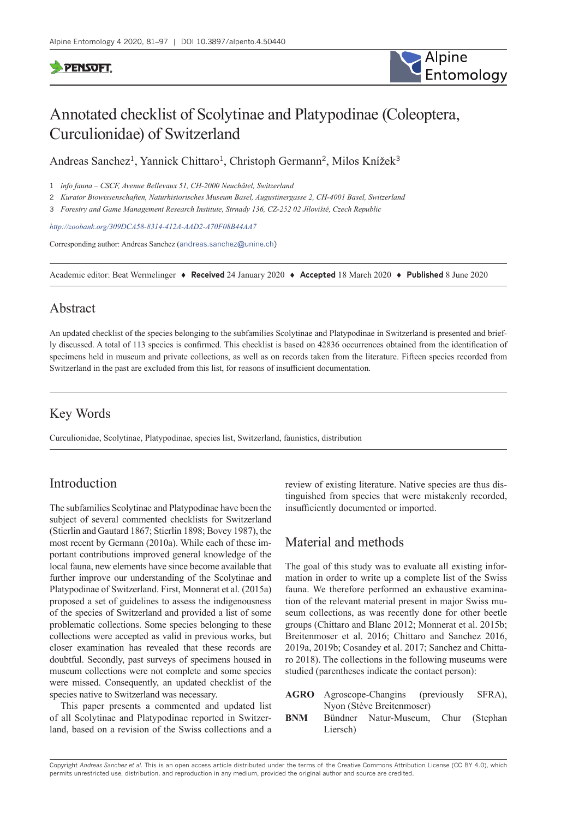## **PENSOFT**



# Annotated checklist of Scolytinae and Platypodinae (Coleoptera, Curculionidae) of Switzerland

Andreas Sanchez<sup>1</sup>, Yannick Chittaro<sup>1</sup>, Christoph Germann<sup>2</sup>, Milos Knížek<sup>3</sup>

1 *info fauna – CSCF, Avenue Bellevaux 51, CH-2000 Neuchâtel, Switzerland*

2 *Kurator Biowissenschaften, Naturhistorisches Museum Basel, Augustinergasse 2, CH-4001 Basel, Switzerland*

3 *Forestry and Game Management Research Institute, Strnady 136, CZ-252 02 Jíloviště, Czech Republic*

*<http://zoobank.org/309DCA58-8314-412A-AAD2-A70F08B44AA7>*

Corresponding author: Andreas Sanchez ([andreas.sanchez@unine.ch\)](mailto:andreas.sanchez@unine.ch)

Academic editor: Beat Wermelinger ♦ **Received** 24 January 2020 ♦ **Accepted** 18 March 2020 ♦ **Published** 8 June 2020

## Abstract

An updated checklist of the species belonging to the subfamilies Scolytinae and Platypodinae in Switzerland is presented and briefly discussed. A total of 113 species is confirmed. This checklist is based on 42836 occurrences obtained from the identification of specimens held in museum and private collections, as well as on records taken from the literature. Fifteen species recorded from Switzerland in the past are excluded from this list, for reasons of insufficient documentation.

## Key Words

Curculionidae, Scolytinae, Platypodinae, species list, Switzerland, faunistics, distribution

## Introduction

The subfamilies Scolytinae and Platypodinae have been the subject of several commented checklists for Switzerland (Stierlin and Gautard 1867; Stierlin 1898; Bovey 1987), the most recent by Germann (2010a). While each of these important contributions improved general knowledge of the local fauna, new elements have since become available that further improve our understanding of the Scolytinae and Platypodinae of Switzerland. First, Monnerat et al. (2015a) proposed a set of guidelines to assess the indigenousness of the species of Switzerland and provided a list of some problematic collections. Some species belonging to these collections were accepted as valid in previous works, but closer examination has revealed that these records are doubtful. Secondly, past surveys of specimens housed in museum collections were not complete and some species were missed. Consequently, an updated checklist of the species native to Switzerland was necessary.

This paper presents a commented and updated list of all Scolytinae and Platypodinae reported in Switzerland, based on a revision of the Swiss collections and a review of existing literature. Native species are thus distinguished from species that were mistakenly recorded, insufficiently documented or imported.

## Material and methods

The goal of this study was to evaluate all existing information in order to write up a complete list of the Swiss fauna. We therefore performed an exhaustive examination of the relevant material present in major Swiss museum collections, as was recently done for other beetle groups (Chittaro and Blanc 2012; Monnerat et al. 2015b; Breitenmoser et al. 2016; Chittaro and Sanchez 2016, 2019a, 2019b; Cosandey et al. 2017; Sanchez and Chittaro 2018). The collections in the following museums were studied (parentheses indicate the contact person):

- **AGRO** Agroscope-Changins (previously SFRA), Nyon (Stève Breitenmoser)
- **BNM** Bündner Natur-Museum, Chur (Stephan Liersch)

Copyright *Andreas Sanchez et al.* This is an open access article distributed under the terms of the [Creative Commons Attribution License \(CC BY 4.0\)](http://creativecommons.org/licenses/by/4.0/), which permits unrestricted use, distribution, and reproduction in any medium, provided the original author and source are credited.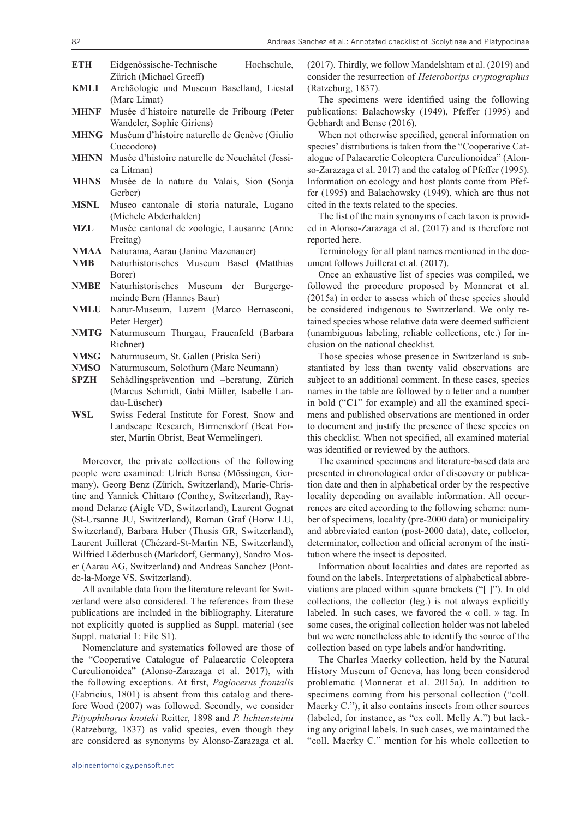| <b>ETH</b>  | Eidgenössische-Technische<br>Hochschule,                                             |
|-------------|--------------------------------------------------------------------------------------|
| KMLI        | Zürich (Michael Greeff)<br>Archäologie und Museum Baselland, Liestal<br>(Marc Limat) |
| <b>MHNF</b> | Musée d'histoire naturelle de Fribourg (Peter<br>Wandeler, Sophie Giriens)           |
| <b>MHNG</b> | Muséum d'histoire naturelle de Genève (Giulio                                        |
| <b>MHNN</b> | Cuccodoro)<br>Musée d'histoire naturelle de Neuchâtel (Jessi-<br>ca Litman)          |
| MHNS        | Musée de la nature du Valais, Sion (Sonja<br>Gerber)                                 |
| <b>MSNL</b> | Museo cantonale di storia naturale, Lugano                                           |
| <b>MZL</b>  | (Michele Abderhalden)<br>Musée cantonal de zoologie, Lausanne (Anne<br>Freitag)      |

- **NMAA** Naturama, Aarau (Janine Mazenauer)
- **NMB** Naturhistorisches Museum Basel (Matthias Borer)
- **NMBE** Naturhistorisches Museum der Burgergemeinde Bern (Hannes Baur)
- **NMLU** Natur-Museum, Luzern (Marco Bernasconi, Peter Herger)
- **NMTG** Naturmuseum Thurgau, Frauenfeld (Barbara Richner)
- **NMSG** Naturmuseum, St. Gallen (Priska Seri)
- **NMSO** Naturmuseum, Solothurn (Marc Neumann)
- **SPZH** Schädlingsprävention und –beratung, Zürich (Marcus Schmidt, Gabi Müller, Isabelle Landau-Lüscher)
- **WSL** Swiss Federal Institute for Forest, Snow and Landscape Research, Birmensdorf (Beat Forster, Martin Obrist, Beat Wermelinger).

Moreover, the private collections of the following people were examined: Ulrich Bense (Mössingen, Germany), Georg Benz (Zürich, Switzerland), Marie-Christine and Yannick Chittaro (Conthey, Switzerland), Raymond Delarze (Aigle VD, Switzerland), Laurent Gognat (St-Ursanne JU, Switzerland), Roman Graf (Horw LU, Switzerland), Barbara Huber (Thusis GR, Switzerland), Laurent Juillerat (Chézard-St-Martin NE, Switzerland), Wilfried Löderbusch (Markdorf, Germany), Sandro Moser (Aarau AG, Switzerland) and Andreas Sanchez (Pontde-la-Morge VS, Switzerland).

All available data from the literature relevant for Switzerland were also considered. The references from these publications are included in the bibliography. Literature not explicitly quoted is supplied as Suppl. material (see Suppl. material 1: File S1).

Nomenclature and systematics followed are those of the "Cooperative Catalogue of Palaearctic Coleoptera Curculionoidea" (Alonso-Zarazaga et al. 2017), with the following exceptions. At first, *Pagiocerus frontalis* (Fabricius, 1801) is absent from this catalog and therefore Wood (2007) was followed. Secondly, we consider *Pityophthorus knoteki* Reitter, 1898 and *P. lichtensteinii* (Ratzeburg, 1837) as valid species, even though they are considered as synonyms by Alonso-Zarazaga et al.

(2017). Thirdly, we follow Mandelshtam et al. (2019) and consider the resurrection of *Heteroborips cryptographus* (Ratzeburg, 1837).

The specimens were identified using the following publications: Balachowsky (1949), Pfeffer (1995) and Gebhardt and Bense (2016).

When not otherwise specified, general information on species' distributions is taken from the "Cooperative Catalogue of Palaearctic Coleoptera Curculionoidea" (Alonso-Zarazaga et al. 2017) and the catalog of Pfeffer (1995). Information on ecology and host plants come from Pfeffer (1995) and Balachowsky (1949), which are thus not cited in the texts related to the species.

The list of the main synonyms of each taxon is provided in Alonso-Zarazaga et al. (2017) and is therefore not reported here.

Terminology for all plant names mentioned in the document follows Juillerat et al. (2017).

Once an exhaustive list of species was compiled, we followed the procedure proposed by Monnerat et al. (2015a) in order to assess which of these species should be considered indigenous to Switzerland. We only retained species whose relative data were deemed sufficient (unambiguous labeling, reliable collections, etc.) for inclusion on the national checklist.

Those species whose presence in Switzerland is substantiated by less than twenty valid observations are subject to an additional comment. In these cases, species names in the table are followed by a letter and a number in bold ("**C1**" for example) and all the examined specimens and published observations are mentioned in order to document and justify the presence of these species on this checklist. When not specified, all examined material was identified or reviewed by the authors.

The examined specimens and literature-based data are presented in chronological order of discovery or publication date and then in alphabetical order by the respective locality depending on available information. All occurrences are cited according to the following scheme: number of specimens, locality (pre-2000 data) or municipality and abbreviated canton (post-2000 data), date, collector, determinator, collection and official acronym of the institution where the insect is deposited.

Information about localities and dates are reported as found on the labels. Interpretations of alphabetical abbreviations are placed within square brackets ("[ ]"). In old collections, the collector (leg.) is not always explicitly labeled. In such cases, we favored the « coll. » tag. In some cases, the original collection holder was not labeled but we were nonetheless able to identify the source of the collection based on type labels and/or handwriting.

The Charles Maerky collection, held by the Natural History Museum of Geneva, has long been considered problematic (Monnerat et al. 2015a). In addition to specimens coming from his personal collection ("coll. Maerky C."), it also contains insects from other sources (labeled, for instance, as "ex coll. Melly A.") but lacking any original labels. In such cases, we maintained the "coll. Maerky C." mention for his whole collection to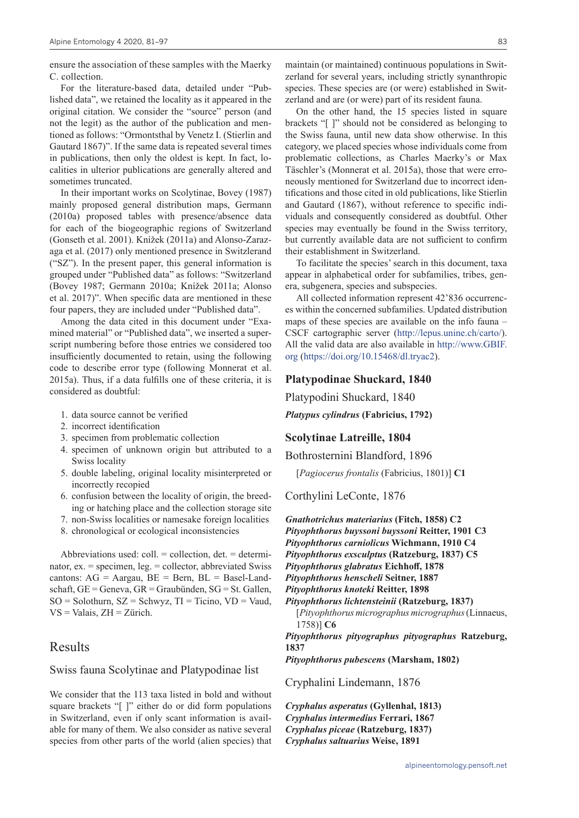ensure the association of these samples with the Maerky C. collection.

For the literature-based data, detailed under "Published data", we retained the locality as it appeared in the original citation. We consider the "source" person (and not the legit) as the author of the publication and mentioned as follows: "Ormontsthal by Venetz I. (Stierlin and Gautard 1867)". If the same data is repeated several times in publications, then only the oldest is kept. In fact, localities in ulterior publications are generally altered and sometimes truncated.

In their important works on Scolytinae, Bovey (1987) mainly proposed general distribution maps, Germann (2010a) proposed tables with presence/absence data for each of the biogeographic regions of Switzerland (Gonseth et al. 2001). Knížek (2011a) and Alonso-Zarazaga et al. (2017) only mentioned presence in Switzlerand ("SZ"). In the present paper, this general information is grouped under "Published data" as follows: "Switzerland (Bovey 1987; Germann 2010a; Knížek 2011a; Alonso et al. 2017)". When specific data are mentioned in these four papers, they are included under "Published data".

Among the data cited in this document under "Examined material" or "Published data", we inserted a superscript numbering before those entries we considered too insufficiently documented to retain, using the following code to describe error type (following Monnerat et al. 2015a). Thus, if a data fulfills one of these criteria, it is considered as doubtful:

- 1. data source cannot be verified
- 2. incorrect identification
- 3. specimen from problematic collection
- 4. specimen of unknown origin but attributed to a Swiss locality
- 5. double labeling, original locality misinterpreted or incorrectly recopied
- 6. confusion between the locality of origin, the breeding or hatching place and the collection storage site
- 7. non-Swiss localities or namesake foreign localities
- 8. chronological or ecological inconsistencies

Abbreviations used:  $\text{coll.} = \text{collection}$ ,  $\text{det.} = \text{determin-}$ nator, ex. = specimen, leg. = collector, abbreviated Swiss cantons:  $AG = Aargau$ ,  $BE = Bern$ ,  $BL = Basel-Land$ schaft, GE = Geneva, GR = Graubünden, SG = St. Gallen,  $SO =$  Solothurn,  $SZ =$  Schwyz,  $TI =$  Ticino,  $VD =$  Vaud,  $VS =$  Valais,  $ZH = Zürich$ .

## Results

Swiss fauna Scolytinae and Platypodinae list

We consider that the 113 taxa listed in bold and without square brackets "[ ]" either do or did form populations in Switzerland, even if only scant information is available for many of them. We also consider as native several species from other parts of the world (alien species) that maintain (or maintained) continuous populations in Switzerland for several years, including strictly synanthropic species. These species are (or were) established in Switzerland and are (or were) part of its resident fauna.

On the other hand, the 15 species listed in square brackets "[ ]" should not be considered as belonging to the Swiss fauna, until new data show otherwise. In this category, we placed species whose individuals come from problematic collections, as Charles Maerky's or Max Täschler's (Monnerat et al. 2015a), those that were erroneously mentioned for Switzerland due to incorrect identifications and those cited in old publications, like Stierlin and Gautard (1867), without reference to specific individuals and consequently considered as doubtful. Other species may eventually be found in the Swiss territory, but currently available data are not sufficient to confirm their establishment in Switzerland.

To facilitate the species' search in this document, taxa appear in alphabetical order for subfamilies, tribes, genera, subgenera, species and subspecies.

All collected information represent 42'836 occurrences within the concerned subfamilies. Updated distribution maps of these species are available on the info fauna – CSCF cartographic server ([http://lepus.unine.ch/carto/\)](http://lepus.unine.ch/carto/). All the valid data are also available in [http://www.GBIF.](http://www.GBIF.org) [org](http://www.GBIF.org) (<https://doi.org/10.15468/dl.tryac2>).

## **Platypodinae Shuckard, 1840**

Platypodini Shuckard, 1840

*Platypus cylindrus* **(Fabricius, 1792)**

#### **Scolytinae Latreille, 1804**

Bothrosternini Blandford, 1896

[*Pagiocerus frontalis* (Fabricius, 1801)] **C1**

Corthylini LeConte, 1876

*Gnathotrichus materiarius* **(Fitch, 1858) C2** *Pityophthorus buyssoni buyssoni* **Reitter, 1901 C3** *Pityophthorus carniolicus* **Wichmann, 1910 C4** *Pityophthorus exsculptus* **(Ratzeburg, 1837) C5** *Pityophthorus glabratus* **Eichhoff, 1878** *Pityophthorus henscheli* **Seitner, 1887** *Pityophthorus knoteki* **Reitter, 1898** *Pityophthorus lichtensteinii* **(Ratzeburg, 1837)** [*Pityophthorus micrographus micrographus* (Linnaeus,

1758)] **C6** *Pityophthorus pityographus pityographus* **Ratzeburg, 1837**

*Pityophthorus pubescens* **(Marsham, 1802)**

Cryphalini Lindemann, 1876

*Cryphalus asperatus* **(Gyllenhal, 1813)** *Cryphalus intermedius* **Ferrari, 1867** *Cryphalus piceae* **(Ratzeburg, 1837)** *Cryphalus saltuarius* **Weise, 1891**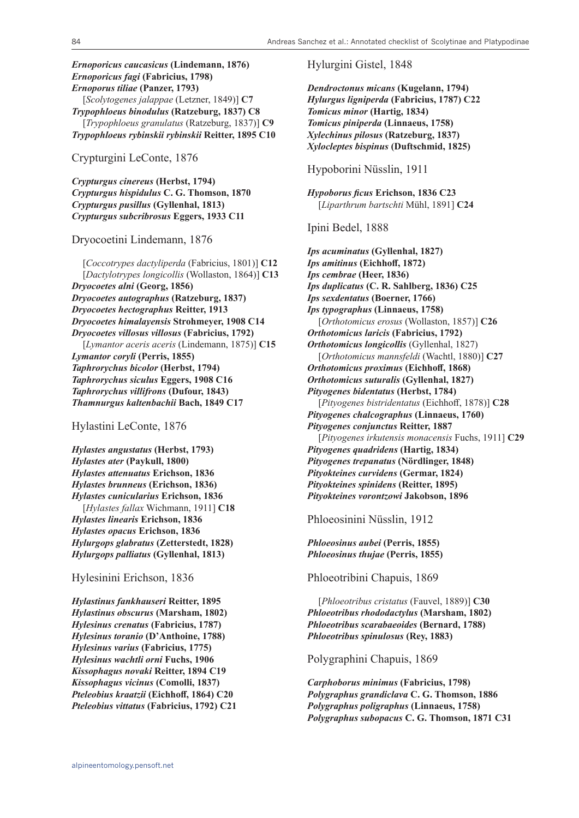## *Ernoporicus caucasicus* **(Lindemann, 1876)** *Ernoporicus fagi* **(Fabricius, 1798)** *Ernoporus tiliae* **(Panzer, 1793)** [*Scolytogenes jalappae* (Letzner, 1849)] **C7** *Trypophloeus binodulus* **(Ratzeburg, 1837) C8** [*Trypophloeus granulatus* (Ratzeburg, 1837)] **C9** *Trypophloeus rybinskii rybinskii* **Reitter, 1895 C10**

Crypturgini LeConte, 1876

*Crypturgus cinereus* **(Herbst, 1794)** *Crypturgus hispidulus* **C. G. Thomson, 1870** *Crypturgus pusillus* **(Gyllenhal, 1813)** *Crypturgus subcribrosus* **Eggers, 1933 C11**

#### Dryocoetini Lindemann, 1876

[*Coccotrypes dactyliperda* (Fabricius, 1801)] **C12** [*Dactylotrypes longicollis* (Wollaston, 1864)] **C13** *Dryocoetes alni* **(Georg, 1856)** *Dryocoetes autographus* **(Ratzeburg, 1837)** *Dryocoetes hectographus* **Reitter, 1913** *Dryocoetes himalayensis* **Strohmeyer, 1908 C14** *Dryocoetes villosus villosus* **(Fabricius, 1792)** [*Lymantor aceris aceris* (Lindemann, 1875)] **C15** *Lymantor coryli* **(Perris, 1855)** *Taphrorychus bicolor* **(Herbst, 1794)** *Taphrorychus siculus* **Eggers, 1908 C16** *Taphrorychus villifrons* **(Dufour, 1843)** *Thamnurgus kaltenbachii* **Bach, 1849 C17**

Hylastini LeConte, 1876

*Hylastes angustatus* **(Herbst, 1793)** *Hylastes ater* **(Paykull, 1800)** *Hylastes attenuatus* **Erichson, 1836** *Hylastes brunneus* **(Erichson, 1836)** *Hylastes cunicularius* **Erichson, 1836** [*Hylastes fallax* Wichmann, 1911] **C18** *Hylastes linearis* **Erichson, 1836** *Hylastes opacus* **Erichson, 1836** *Hylurgops glabratus* **(Zetterstedt, 1828)** *Hylurgops palliatus* **(Gyllenhal, 1813)**

Hylesinini Erichson, 1836

*Hylastinus fankhauseri* **Reitter, 1895** *Hylastinus obscurus* **(Marsham, 1802)** *Hylesinus crenatus* **(Fabricius, 1787)** *Hylesinus toranio* **(D'Anthoine, 1788)** *Hylesinus varius* **(Fabricius, 1775)** *Hylesinus wachtli orni* **Fuchs, 1906** *Kissophagus novaki* **Reitter, 1894 C19** *Kissophagus vicinus* **(Comolli, 1837)** *Pteleobius kraatzii* **(Eichhoff, 1864) C20** *Pteleobius vittatus* **(Fabricius, 1792) C21** Hylurgini Gistel, 1848

*Dendroctonus micans* **(Kugelann, 1794)** *Hylurgus ligniperda* **(Fabricius, 1787) C22** *Tomicus minor* **(Hartig, 1834)** *Tomicus piniperda* **(Linnaeus, 1758)** *Xylechinus pilosus* **(Ratzeburg, 1837)** *Xylocleptes bispinus* **(Duftschmid, 1825)**

#### Hypoborini Nüsslin, 1911

*Hypoborus ficus* **Erichson, 1836 C23** [*Liparthrum bartschti* Mühl, 1891] **C24**

Ipini Bedel, 1888

*Ips acuminatus* **(Gyllenhal, 1827)** *Ips amitinus* **(Eichhoff, 1872)** *Ips cembrae* **(Heer, 1836)** *Ips duplicatus* **(C. R. Sahlberg, 1836) C25** *Ips sexdentatus* **(Boerner, 1766)** *Ips typographus* **(Linnaeus, 1758)** [*Orthotomicus erosus* (Wollaston, 1857)] **C26** *Orthotomicus laricis* **(Fabricius, 1792)** *Orthotomicus longicollis* (Gyllenhal, 1827) [*Orthotomicus mannsfeldi* (Wachtl, 1880)] **C27** *Orthotomicus proximus* **(Eichhoff, 1868)** *Orthotomicus suturalis* **(Gyllenhal, 1827)** *Pityogenes bidentatus* **(Herbst, 1784)** [*Pityogenes bistridentatus* (Eichhoff, 1878)] **C28** *Pityogenes chalcographus* **(Linnaeus, 1760)** *Pityogenes conjunctus* **Reitter, 1887** [*Pityogenes irkutensis monacensis* Fuchs, 1911] **C29** *Pityogenes quadridens* **(Hartig, 1834)** *Pityogenes trepanatus* **(Nördlinger, 1848)** *Pityokteines curvidens* **(Germar, 1824)** *Pityokteines spinidens* **(Reitter, 1895)** *Pityokteines vorontzowi* **Jakobson, 1896**

Phloeosinini Nüsslin, 1912

*Phloeosinus aubei* **(Perris, 1855)** *Phloeosinus thujae* **(Perris, 1855)**

Phloeotribini Chapuis, 1869

[*Phloeotribus cristatus* (Fauvel, 1889)] **C30** *Phloeotribus rhododactylus* **(Marsham, 1802)** *Phloeotribus scarabaeoides* **(Bernard, 1788)** *Phloeotribus spinulosus* **(Rey, 1883)**

Polygraphini Chapuis, 1869

*Carphoborus minimus* **(Fabricius, 1798)** *Polygraphus grandiclava* **C. G. Thomson, 1886** *Polygraphus poligraphus* **(Linnaeus, 1758)** *Polygraphus subopacus* **C. G. Thomson, 1871 C31**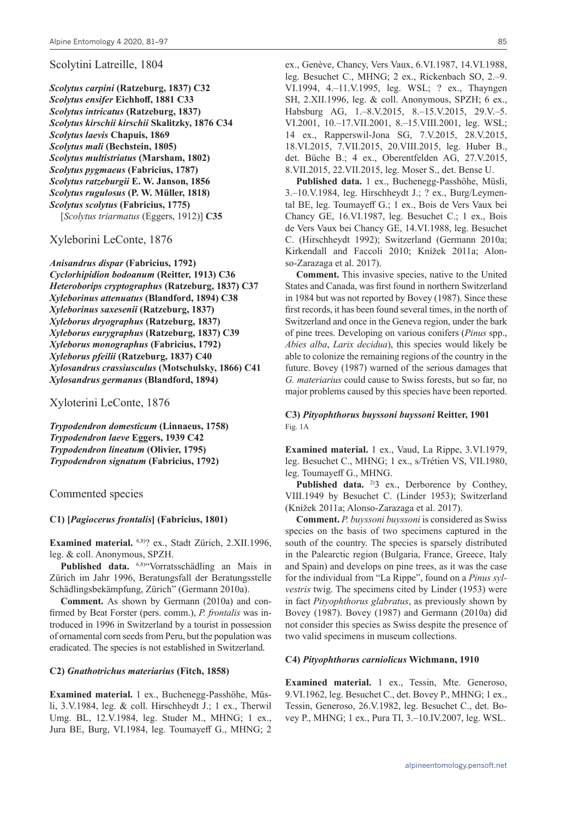#### Scolytini Latreille, 1804

*Scolytus carpini* **(Ratzeburg, 1837) C32** *Scolytus ensifer* **Eichhoff, 1881 C33** *Scolytus intricatus* **(Ratzeburg, 1837)** *Scolytus kirschii kirschii* **Skalitzky, 1876 C34** *Scolytus laevis* **Chapuis, 1869** *Scolytus mali* **(Bechstein, 1805)** *Scolytus multistriatus* **(Marsham, 1802)** *Scolytus pygmaeus* **(Fabricius, 1787)** *Scolytus ratzeburgii* **E. W. Janson, 1856** *Scolytus rugulosus* **(P. W. Müller, 1818)** *Scolytus scolytus* **(Fabricius, 1775)** [*Scolytus triarmatus* (Eggers, 1912)] **C35**

Xyleborini LeConte, 1876

*Anisandrus dispar* **(Fabricius, 1792)** *Cyclorhipidion bodoanum* **(Reitter, 1913) C36** *Heteroborips cryptographus* **(Ratzeburg, 1837) C37** *Xyleborinus attenuatus* **(Blandford, 1894) C38** *Xyleborinus saxesenii* **(Ratzeburg, 1837)** *Xyleborus dryographus* **(Ratzeburg, 1837)** *Xyleborus eurygraphus* **(Ratzeburg, 1837) C39** *Xyleborus monographus* **(Fabricius, 1792)** *Xyleborus pfeilii* **(Ratzeburg, 1837) C40** *Xylosandrus crassiusculus* **(Motschulsky, 1866) C41** *Xylosandrus germanus* **(Blandford, 1894)**

Xyloterini LeConte, 1876

*Trypodendron domesticum* **(Linnaeus, 1758)** *Trypodendron laeve* **Eggers, 1939 C42** *Trypodendron lineatum* **(Olivier, 1795)** *Trypodendron signatum* **(Fabricius, 1792)**

Commented species

#### **C1) [***Pagiocerus frontalis***] (Fabricius, 1801)**

**Examined material.** 6,8)? ex., Stadt Zürich, 2.XII.1996, leg. & coll. Anonymous, SPZH.

Published data. <sup>6,8)</sup>"Vorratsschädling an Mais in Zürich im Jahr 1996, Beratungsfall der Beratungsstelle Schädlingsbekämpfung, Zürich" (Germann 2010a).

**Comment.** As shown by Germann (2010a) and confirmed by Beat Forster (pers. comm.), *P. frontalis* was introduced in 1996 in Switzerland by a tourist in possession of ornamental corn seeds from Peru, but the population was eradicated. The species is not established in Switzerland.

#### **C2)** *Gnathotrichus materiarius* **(Fitch, 1858)**

**Examined material.** 1 ex., Buchenegg-Passhöhe, Müsli, 3.V.1984, leg. & coll. Hirschheydt J.; 1 ex., Therwil Umg. BL, 12.V.1984, leg. Studer M., MHNG; 1 ex., Jura BE, Burg, VI.1984, leg. Toumayeff G., MHNG; 2

ex., Genève, Chancy, Vers Vaux, 6.VI.1987, 14.VI.1988, leg. Besuchet C., MHNG; 2 ex., Rickenbach SO, 2.–9. VI.1994, 4.–11.V.1995, leg. WSL; ? ex., Thayngen SH, 2.XII.1996, leg. & coll. Anonymous, SPZH; 6 ex., Habsburg AG, 1.–8.V.2015, 8.–15.V.2015, 29.V.–5. VI.2001, 10.–17.VII.2001, 8.–15.VIII.2001, leg. WSL; 14 ex., Rapperswil-Jona SG, 7.V.2015, 28.V.2015, 18.VI.2015, 7.VII.2015, 20.VIII.2015, leg. Huber B., det. Büche B.; 4 ex., Oberentfelden AG, 27.V.2015, 8.VII.2015, 22.VII.2015, leg. Moser S., det. Bense U.

**Published data.** 1 ex., Buchenegg-Passhöhe, Müsli, 3.–10.V.1984, leg. Hirschheydt J.; ? ex., Burg/Leymental BE, leg. Toumayeff G.; 1 ex., Bois de Vers Vaux bei Chancy GE, 16.VI.1987, leg. Besuchet C.; 1 ex., Bois de Vers Vaux bei Chancy GE, 14.VI.1988, leg. Besuchet C. (Hirschheydt 1992); Switzerland (Germann 2010a; Kirkendall and Faccoli 2010; Knížek 2011a; Alonso-Zarazaga et al. 2017).

**Comment.** This invasive species, native to the United States and Canada, was first found in northern Switzerland in 1984 but was not reported by Bovey (1987). Since these first records, it has been found several times, in the north of Switzerland and once in the Geneva region, under the bark of pine trees. Developing on various conifers (*Pinus* spp., *Abies alba*, *Larix decidua*), this species would likely be able to colonize the remaining regions of the country in the future. Bovey (1987) warned of the serious damages that *G. materiarius* could cause to Swiss forests, but so far, no major problems caused by this species have been reported.

## **C3)** *Pityophthorus buyssoni buyssoni* **Reitter, 1901** Fig. 1A

**Examined material.** 1 ex., Vaud, La Rippe, 3.VI.1979, leg. Besuchet C., MHNG; 1 ex., s/Trétien VS, VII.1980, leg. Toumayeff G., MHNG.

**Published data.** <sup>2)</sup> $3$  ex., Derborence by Conthey, VIII.1949 by Besuchet C. (Linder 1953); Switzerland (Knížek 2011a; Alonso-Zarazaga et al. 2017).

**Comment.** *P. buyssoni buyssoni* is considered as Swiss species on the basis of two specimens captured in the south of the country. The species is sparsely distributed in the Palearctic region (Bulgaria, France, Greece, Italy and Spain) and develops on pine trees, as it was the case for the individual from "La Rippe", found on a *Pinus sylvestris* twig. The specimens cited by Linder (1953) were in fact *Pityophthorus glabratus*, as previously shown by Bovey (1987). Bovey (1987) and Germann (2010a) did not consider this species as Swiss despite the presence of two valid specimens in museum collections.

#### **C4)** *Pityophthorus carniolicus* **Wichmann, 1910**

**Examined material.** 1 ex., Tessin, Mte. Generoso, 9.VI.1962, leg. Besuchet C., det. Bovey P., MHNG; 1 ex., Tessin, Generoso, 26.V.1982, leg. Besuchet C., det. Bovey P., MHNG; 1 ex., Pura TI, 3.–10.IV.2007, leg. WSL.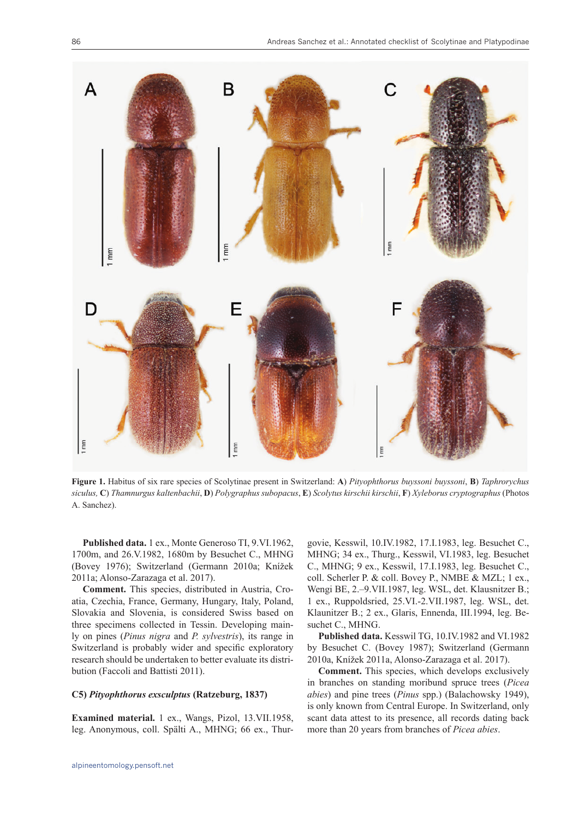

**Figure 1.** Habitus of six rare species of Scolytinae present in Switzerland: **A**) *Pityophthorus buyssoni buyssoni*, **B**) *Taphrorychus* siculus, C) Thamnurgus kaltenbachii, D) Polygraphus subopacus, E) Scolytus kirschii kirschii, F) Xyleborus cryptographus (Photos A. Sanchez).

**Published data.** 1 ex., Monte Generoso TI, 9.VI.1962, 1700m, and 26.V.1982, 1680m by Besuchet C., MHNG (Bovey 1976); Switzerland (Germann 2010a; Knížek 2011a; Alonso-Zarazaga et al. 2017).

**Comment.** This species, distributed in Austria, Croatia, Czechia, France, Germany, Hungary, Italy, Poland, Slovakia and Slovenia, is considered Swiss based on three specimens collected in Tessin. Developing mainly on pines (*Pinus nigra* and *P. sylvestris*), its range in Switzerland is probably wider and specific exploratory research should be undertaken to better evaluate its distribution (Faccoli and Battisti 2011).

#### **C5)** *Pityophthorus exsculptus* **(Ratzeburg, 1837)**

**Examined material.** 1 ex., Wangs, Pizol, 13.VII.1958, leg. Anonymous, coll. Spälti A., MHNG; 66 ex., Thurgovie, Kesswil, 10.IV.1982, 17.I.1983, leg. Besuchet C., MHNG; 34 ex., Thurg., Kesswil, VI.1983, leg. Besuchet C., MHNG; 9 ex., Kesswil, 17.I.1983, leg. Besuchet C., coll. Scherler P. & coll. Bovey P., NMBE & MZL; 1 ex., Wengi BE, 2.–9.VII.1987, leg. WSL, det. Klausnitzer B.; 1 ex., Ruppoldsried, 25.VI.-2.VII.1987, leg. WSL, det. Klaunitzer B.; 2 ex., Glaris, Ennenda, III.1994, leg. Besuchet C., MHNG.

**Published data.** Kesswil TG, 10.IV.1982 and VI.1982 by Besuchet C. (Bovey 1987); Switzerland (Germann 2010a, Knížek 2011a, Alonso-Zarazaga et al. 2017).

**Comment.** This species, which develops exclusively in branches on standing moribund spruce trees (*Picea abies*) and pine trees (*Pinus* spp.) (Balachowsky 1949), is only known from Central Europe. In Switzerland, only scant data attest to its presence, all records dating back more than 20 years from branches of *Picea abies*.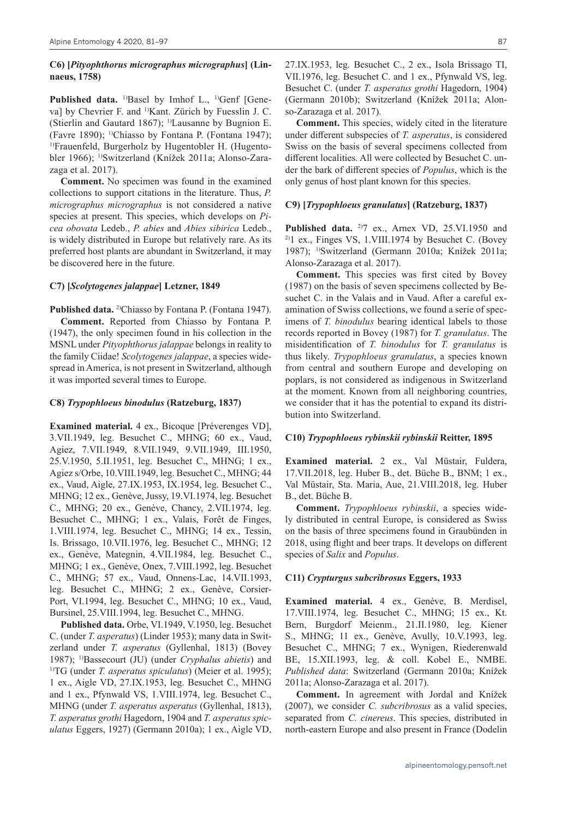#### **C6) [***Pityophthorus micrographus micrographus***] (Linnaeus, 1758)**

Published data. <sup>1)</sup>Basel by Imhof L., <sup>1)</sup>Genf [Geneva] by Chevrier F. and <sup>1)</sup>Kant. Zürich by Fuesslin J. C. (Stierlin and Gautard 1867); <sup>1)</sup>Lausanne by Bugnion E. (Favre 1890); 1)Chiasso by Fontana P. (Fontana 1947); <sup>1)</sup>Frauenfeld, Burgerholz by Hugentobler H. (Hugentobler 1966); 1)Switzerland (Knížek 2011a; Alonso-Zarazaga et al. 2017).

**Comment.** No specimen was found in the examined collections to support citations in the literature. Thus, *P. micrographus micrographus* is not considered a native species at present. This species, which develops on *Picea obovata* Ledeb., *P. abies* and *Abies sibirica* Ledeb., is widely distributed in Europe but relatively rare. As its preferred host plants are abundant in Switzerland, it may be discovered here in the future.

#### **C7) [***Scolytogenes jalappae***] Letzner, 1849**

Published data.<sup>2</sup>Chiasso by Fontana P. (Fontana 1947). **Comment.** Reported from Chiasso by Fontana P. (1947), the only specimen found in his collection in the MSNL under *Pityophthorus jalappae* belongs in reality to the family Ciidae! *Scolytogenes jalappae*, a species widespread in America, is not present in Switzerland, although it was imported several times to Europe.

#### **C8)** *Trypophloeus binodulus* **(Ratzeburg, 1837)**

**Examined material.** 4 ex., Bicoque [Préverenges VD], 3.VII.1949, leg. Besuchet C., MHNG; 60 ex., Vaud, Agiez, 7.VII.1949, 8.VII.1949, 9.VII.1949, III.1950, 25.V.1950, 5.II.1951, leg. Besuchet C., MHNG; 1 ex., Agiez s/Orbe, 10.VIII.1949, leg. Besuchet C., MHNG; 44 ex., Vaud, Aigle, 27.IX.1953, IX.1954, leg. Besuchet C., MHNG; 12 ex., Genève, Jussy, 19.VI.1974, leg. Besuchet C., MHNG; 20 ex., Genève, Chancy, 2.VII.1974, leg. Besuchet C., MHNG; 1 ex., Valais, Forêt de Finges, 1.VIII.1974, leg. Besuchet C., MHNG; 14 ex., Tessin, Is. Brissago, 10.VII.1976, leg. Besuchet C., MHNG; 12 ex., Genève, Mategnin, 4.VII.1984, leg. Besuchet C., MHNG; 1 ex., Genève, Onex, 7.VIII.1992, leg. Besuchet C., MHNG; 57 ex., Vaud, Onnens-Lac, 14.VII.1993, leg. Besuchet C., MHNG; 2 ex., Genève, Corsier-Port, VI.1994, leg. Besuchet C., MHNG; 10 ex., Vaud, Bursinel, 25.VIII.1994, leg. Besuchet C., MHNG.

**Published data.** Orbe, VI.1949, V.1950, leg. Besuchet C. (under *T. asperatus*) (Linder 1953); many data in Switzerland under *T. asperatus* (Gyllenhal, 1813) (Bovey 1987); 1)Bassecourt (JU) (under *Cryphalus abietis*) and 1)TG (under *T. asperatus spiculatus*) (Meier et al. 1995); 1 ex., Aigle VD, 27.IX.1953, leg. Besuchet C., MHNG and 1 ex., Pfynwald VS, 1.VIII.1974, leg. Besuchet C., MHNG (under *T. asperatus asperatus* (Gyllenhal, 1813), *T. asperatus grothi* Hagedorn, 1904 and *T. asperatus spiculatus* Eggers, 1927) (Germann 2010a); 1 ex., Aigle VD, 27.IX.1953, leg. Besuchet C., 2 ex., Isola Brissago TI, VII.1976, leg. Besuchet C. and 1 ex., Pfynwald VS, leg. Besuchet C. (under *T. asperatus grothi* Hagedorn, 1904) (Germann 2010b); Switzerland (Knížek 2011a; Alonso-Zarazaga et al. 2017).

**Comment.** This species, widely cited in the literature under different subspecies of *T. asperatus*, is considered Swiss on the basis of several specimens collected from different localities. All were collected by Besuchet C. under the bark of different species of *Populus*, which is the only genus of host plant known for this species.

#### **C9) [***Trypophloeus granulatus***] (Ratzeburg, 1837)**

Published data. <sup>2)</sup>7 ex., Arnex VD, 25.VI.1950 and  $2$ <sup>2)</sup>1 ex., Finges VS, 1.VIII.1974 by Besuchet C. (Bovey 1987); 1)Switzerland (Germann 2010a; Knížek 2011a; Alonso-Zarazaga et al. 2017).

**Comment.** This species was first cited by Bovey (1987) on the basis of seven specimens collected by Besuchet C. in the Valais and in Vaud. After a careful examination of Swiss collections, we found a serie of specimens of *T. binodulus* bearing identical labels to those records reported in Bovey (1987) for *T. granulatus*. The misidentification of *T. binodulus* for *T. granulatus* is thus likely. *Trypophloeus granulatus*, a species known from central and southern Europe and developing on poplars, is not considered as indigenous in Switzerland at the moment. Known from all neighboring countries, we consider that it has the potential to expand its distribution into Switzerland.

#### **C10)** *Trypophloeus rybinskii rybinskii* **Reitter, 1895**

**Examined material.** 2 ex., Val Müstair, Fuldera, 17.VII.2018, leg. Huber B., det. Büche B., BNM; 1 ex., Val Müstair, Sta. Maria, Aue, 21.VIII.2018, leg. Huber B., det. Büche B.

**Comment.** *Trypophloeus rybinskii*, a species widely distributed in central Europe, is considered as Swiss on the basis of three specimens found in Graubünden in 2018, using flight and beer traps. It develops on different species of *Salix* and *Populus*.

#### **C11)** *Crypturgus subcribrosus* **Eggers, 1933**

**Examined material.** 4 ex., Genève, B. Merdisel, 17.VIII.1974, leg. Besuchet C., MHNG; 15 ex., Kt. Bern, Burgdorf Meienm., 21.II.1980, leg. Kiener S., MHNG; 11 ex., Genève, Avully, 10.V.1993, leg. Besuchet C., MHNG; 7 ex., Wynigen, Riederenwald BE, 15.XII.1993, leg. & coll. Kobel E., NMBE. *Published data*: Switzerland (Germann 2010a; Knížek 2011a; Alonso-Zarazaga et al. 2017).

**Comment.** In agreement with Jordal and Knížek (2007), we consider *C. subcribrosus* as a valid species, separated from *C. cinereus*. This species, distributed in north-eastern Europe and also present in France (Dodelin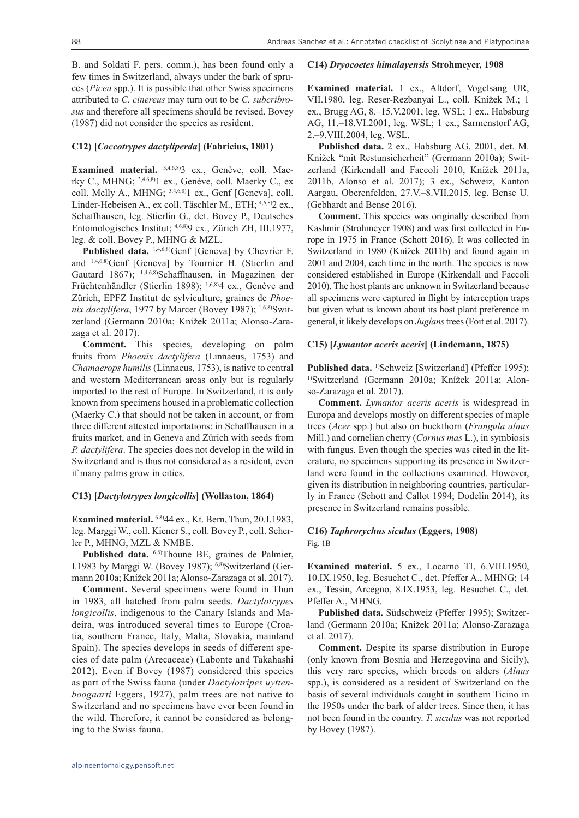**C14)** *Dryocoetes himalayensis* **Strohmeyer, 1908**

B. and Soldati F. pers. comm.), has been found only a few times in Switzerland, always under the bark of spruces (*Picea* spp.). It is possible that other Swiss specimens attributed to *C. cinereus* may turn out to be *C. subcribrosus* and therefore all specimens should be revised. Bovey (1987) did not consider the species as resident.

#### **C12) [***Coccotrypes dactyliperda***] (Fabricius, 1801)**

Examined material. 3,4,6,8) ex., Genève, coll. Maerky C., MHNG; 3,4,6,8)1 ex., Genève, coll. Maerky C., ex coll. Melly A., MHNG; 3,4,6,8)1 ex., Genf [Geneva], coll. Linder-Hebeisen A., ex coll. Täschler M., ETH; 4,6,8)2 ex., Schaffhausen, leg. Stierlin G., det. Bovey P., Deutsches Entomologisches Institut; 4,6,8)9 ex., Zürich ZH, III.1977, leg. & coll. Bovey P., MHNG & MZL.

Published data. <sup>1,4,6,8)</sup>Genf [Geneva] by Chevrier F. and 1,4,6,8)Genf [Geneva] by Tournier H. (Stierlin and Gautard 1867); 1,4,6,8)Schaffhausen, in Magazinen der Früchtenhändler (Stierlin 1898); 1,6,8)4 ex., Genève and Zürich, EPFZ Institut de sylviculture, graines de *Phoe*nix dactylifera, 1977 by Marcet (Bovey 1987); <sup>1,6,8</sup>)Switzerland (Germann 2010a; Knížek 2011a; Alonso-Zarazaga et al. 2017).

**Comment.** This species, developing on palm fruits from *Phoenix dactylifera* (Linnaeus, 1753) and *Chamaerops humilis* (Linnaeus, 1753), is native to central and western Mediterranean areas only but is regularly imported to the rest of Europe. In Switzerland, it is only known from specimens housed in a problematic collection (Maerky C.) that should not be taken in account, or from three different attested importations: in Schaffhausen in a fruits market, and in Geneva and Zürich with seeds from *P. dactylifera*. The species does not develop in the wild in Switzerland and is thus not considered as a resident, even if many palms grow in cities.

#### **C13) [***Dactylotrypes longicollis***] (Wollaston, 1864)**

**Examined material.** 6,8)44 ex., Kt. Bern, Thun, 20.I.1983, leg. Marggi W., coll. Kiener S., coll. Bovey P., coll. Scherler P., MHNG, MZL & NMBE.

Published data. 6,8)Thoune BE, graines de Palmier, I.1983 by Marggi W. (Bovey 1987); 6,8)Switzerland (Germann 2010a; Knížek 2011a; Alonso-Zarazaga et al. 2017).

**Comment.** Several specimens were found in Thun in 1983, all hatched from palm seeds. *Dactylotrypes longicollis*, indigenous to the Canary Islands and Madeira, was introduced several times to Europe (Croatia, southern France, Italy, Malta, Slovakia, mainland Spain). The species develops in seeds of different species of date palm (Arecaceae) (Labonte and Takahashi 2012). Even if Bovey (1987) considered this species as part of the Swiss fauna (under *Dactylotripes uyttenboogaarti* Eggers, 1927), palm trees are not native to Switzerland and no specimens have ever been found in the wild. Therefore, it cannot be considered as belonging to the Swiss fauna.

**Examined material.** 1 ex., Altdorf, Vogelsang UR, VII.1980, leg. Reser-Rezbanyai L., coll. Knížek M.; 1 ex., Brugg AG, 8.–15.V.2001, leg. WSL; 1 ex., Habsburg AG, 11.–18.VI.2001, leg. WSL; 1 ex., Sarmenstorf AG, 2.–9.VIII.2004, leg. WSL.

**Published data.** 2 ex., Habsburg AG, 2001, det. M. Knížek "mit Restunsicherheit" (Germann 2010a); Switzerland (Kirkendall and Faccoli 2010, Knížek 2011a, 2011b, Alonso et al. 2017); 3 ex., Schweiz, Kanton Aargau, Oberenfelden, 27.V.–8.VII.2015, leg. Bense U. (Gebhardt and Bense 2016).

**Comment.** This species was originally described from Kashmir (Strohmeyer 1908) and was first collected in Europe in 1975 in France (Schott 2016). It was collected in Switzerland in 1980 (Knížek 2011b) and found again in 2001 and 2004, each time in the north. The species is now considered established in Europe (Kirkendall and Faccoli 2010). The host plants are unknown in Switzerland because all specimens were captured in flight by interception traps but given what is known about its host plant preference in general, it likely develops on *Juglans* trees (Foit et al. 2017).

#### **C15) [***Lymantor aceris aceris***] (Lindemann, 1875)**

Published data.<sup>1)</sup>Schweiz [Switzerland] (Pfeffer 1995); 1)Switzerland (Germann 2010a; Knížek 2011a; Alonso-Zarazaga et al. 2017).

**Comment.** *Lymantor aceris aceris* is widespread in Europa and develops mostly on different species of maple trees (*Acer* spp.) but also on buckthorn (*Frangula alnus* Mill.) and cornelian cherry (*Cornus mas* L.), in symbiosis with fungus. Even though the species was cited in the literature, no specimens supporting its presence in Switzerland were found in the collections examined. However, given its distribution in neighboring countries, particularly in France (Schott and Callot 1994; Dodelin 2014), its presence in Switzerland remains possible.

#### **C16)** *Taphrorychus siculus* **(Eggers, 1908)** Fig. 1B

**Examined material.** 5 ex., Locarno TI, 6.VIII.1950, 10.IX.1950, leg. Besuchet C., det. Pfeffer A., MHNG; 14 ex., Tessin, Arcegno, 8.IX.1953, leg. Besuchet C., det. Pfeffer A., MHNG.

**Published data.** Südschweiz (Pfeffer 1995); Switzerland (Germann 2010a; Knížek 2011a; Alonso-Zarazaga et al. 2017).

**Comment.** Despite its sparse distribution in Europe (only known from Bosnia and Herzegovina and Sicily), this very rare species, which breeds on alders (*Alnus* spp.), is considered as a resident of Switzerland on the basis of several individuals caught in southern Ticino in the 1950s under the bark of alder trees. Since then, it has not been found in the country. *T. siculus* was not reported by Bovey (1987).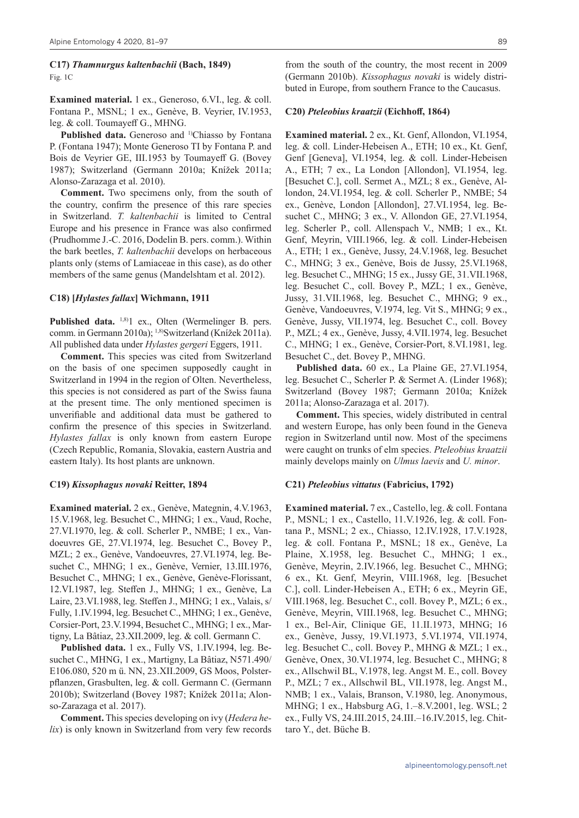#### **C17)** *Thamnurgus kaltenbachii* **(Bach, 1849)** Fig. 1C

**Examined material.** 1 ex., Generoso, 6.VI., leg. & coll. Fontana P., MSNL; 1 ex., Genève, B. Veyrier, IV.1953, leg. & coll. Toumayeff G., MHNG.

Published data. Generoso and <sup>1)</sup>Chiasso by Fontana P. (Fontana 1947); Monte Generoso TI by Fontana P. and Bois de Veyrier GE, III.1953 by Toumayeff G. (Bovey 1987); Switzerland (Germann 2010a; Knížek 2011a; Alonso-Zarazaga et al. 2010).

**Comment.** Two specimens only, from the south of the country, confirm the presence of this rare species in Switzerland. *T. kaltenbachii* is limited to Central Europe and his presence in France was also confirmed (Prudhomme J.-C. 2016, Dodelin B. pers. comm.). Within the bark beetles, *T. kaltenbachii* develops on herbaceous plants only (stems of Lamiaceae in this case), as do other members of the same genus (Mandelshtam et al. 2012).

#### **C18) [***Hylastes fallax***] Wichmann, 1911**

Published data. <sup>1,8)</sup>1 ex., Olten (Wermelinger B. pers. comm. in Germann 2010a); 1,8)Switzerland (Knížek 2011a). All published data under *Hylastes gergeri* Eggers, 1911.

**Comment.** This species was cited from Switzerland on the basis of one specimen supposedly caught in Switzerland in 1994 in the region of Olten. Nevertheless, this species is not considered as part of the Swiss fauna at the present time. The only mentioned specimen is unverifiable and additional data must be gathered to confirm the presence of this species in Switzerland. *Hylastes fallax* is only known from eastern Europe (Czech Republic, Romania, Slovakia, eastern Austria and eastern Italy). Its host plants are unknown.

#### **C19)** *Kissophagus novaki* **Reitter, 1894**

**Examined material.** 2 ex., Genève, Mategnin, 4.V.1963, 15.V.1968, leg. Besuchet C., MHNG; 1 ex., Vaud, Roche, 27.VI.1970, leg. & coll. Scherler P., NMBE; 1 ex., Vandoeuvres GE, 27.VI.1974, leg. Besuchet C., Bovey P., MZL; 2 ex., Genève, Vandoeuvres, 27.VI.1974, leg. Besuchet C., MHNG; 1 ex., Genève, Vernier, 13.III.1976, Besuchet C., MHNG; 1 ex., Genève, Genève-Florissant, 12.VI.1987, leg. Steffen J., MHNG; 1 ex., Genève, La Laire, 23.VI.1988, leg. Steffen J., MHNG; 1 ex., Valais, s/ Fully, 1.IV.1994, leg. Besuchet C., MHNG; 1 ex., Genève, Corsier-Port, 23.V.1994, Besuchet C., MHNG; 1 ex., Martigny, La Bâtiaz, 23.XII.2009, leg. & coll. Germann C.

**Published data.** 1 ex., Fully VS, 1.IV.1994, leg. Besuchet C., MHNG, 1 ex., Martigny, La Bâtiaz, N571.490/ E106.080, 520 m ü. NN, 23.XII.2009, GS Moos, Polsterpflanzen, Grasbulten, leg. & coll. Germann C. (Germann 2010b); Switzerland (Bovey 1987; Knížek 2011a; Alonso-Zarazaga et al. 2017).

**Comment.** This species developing on ivy (*Hedera helix*) is only known in Switzerland from very few records

from the south of the country, the most recent in 2009 (Germann 2010b). *Kissophagus novaki* is widely distributed in Europe, from southern France to the Caucasus.

#### **C20)** *Pteleobius kraatzii* **(Eichhoff, 1864)**

**Examined material.** 2 ex., Kt. Genf, Allondon, VI.1954, leg. & coll. Linder-Hebeisen A., ETH; 10 ex., Kt. Genf, Genf [Geneva], VI.1954, leg. & coll. Linder-Hebeisen A., ETH; 7 ex., La London [Allondon], VI.1954, leg. [Besuchet C.], coll. Sermet A., MZL; 8 ex., Genève, Allondon, 24.VI.1954, leg. & coll. Scherler P., NMBE; 54 ex., Genève, London [Allondon], 27.VI.1954, leg. Besuchet C., MHNG; 3 ex., V. Allondon GE, 27.VI.1954, leg. Scherler P., coll. Allenspach V., NMB; 1 ex., Kt. Genf, Meyrin, VIII.1966, leg. & coll. Linder-Hebeisen A., ETH; 1 ex., Genève, Jussy, 24.V.1968, leg. Besuchet C., MHNG; 3 ex., Genève, Bois de Jussy, 25.VI.1968, leg. Besuchet C., MHNG; 15 ex., Jussy GE, 31.VII.1968, leg. Besuchet C., coll. Bovey P., MZL; 1 ex., Genève, Jussy, 31.VII.1968, leg. Besuchet C., MHNG; 9 ex., Genève, Vandoeuvres, V.1974, leg. Vit S., MHNG; 9 ex., Genève, Jussy, VII.1974, leg. Besuchet C., coll. Bovey P., MZL; 4 ex., Genève, Jussy, 4.VII.1974, leg. Besuchet C., MHNG; 1 ex., Genève, Corsier-Port, 8.VI.1981, leg. Besuchet C., det. Bovey P., MHNG.

**Published data.** 60 ex., La Plaine GE, 27.VI.1954, leg. Besuchet C., Scherler P. & Sermet A. (Linder 1968); Switzerland (Bovey 1987; Germann 2010a; Knížek 2011a; Alonso-Zarazaga et al. 2017).

**Comment.** This species, widely distributed in central and western Europe, has only been found in the Geneva region in Switzerland until now. Most of the specimens were caught on trunks of elm species. *Pteleobius kraatzii* mainly develops mainly on *Ulmus laevis* and *U. minor*.

#### **C21)** *Pteleobius vittatus* **(Fabricius, 1792)**

**Examined material.** 7 ex., Castello, leg. & coll. Fontana P., MSNL; 1 ex., Castello, 11.V.1926, leg. & coll. Fontana P., MSNL; 2 ex., Chiasso, 12.IV.1928, 17.V.1928, leg. & coll. Fontana P., MSNL; 18 ex., Genève, La Plaine, X.1958, leg. Besuchet C., MHNG; 1 ex., Genève, Meyrin, 2.IV.1966, leg. Besuchet C., MHNG; 6 ex., Kt. Genf, Meyrin, VIII.1968, leg. [Besuchet C.], coll. Linder-Hebeisen A., ETH; 6 ex., Meyrin GE, VIII.1968, leg. Besuchet C., coll. Bovey P., MZL; 6 ex., Genève, Meyrin, VIII.1968, leg. Besuchet C., MHNG; 1 ex., Bel-Air, Clinique GE, 11.II.1973, MHNG; 16 ex., Genève, Jussy, 19.VI.1973, 5.VI.1974, VII.1974, leg. Besuchet C., coll. Bovey P., MHNG & MZL; 1 ex., Genève, Onex, 30.VI.1974, leg. Besuchet C., MHNG; 8 ex., Allschwil BL, V.1978, leg. Angst M. E., coll. Bovey P., MZL; 7 ex., Allschwil BL, VII.1978, leg. Angst M., NMB; 1 ex., Valais, Branson, V.1980, leg. Anonymous, MHNG; 1 ex., Habsburg AG, 1.–8.V.2001, leg. WSL; 2 ex., Fully VS, 24.III.2015, 24.III.–16.IV.2015, leg. Chittaro Y., det. Büche B.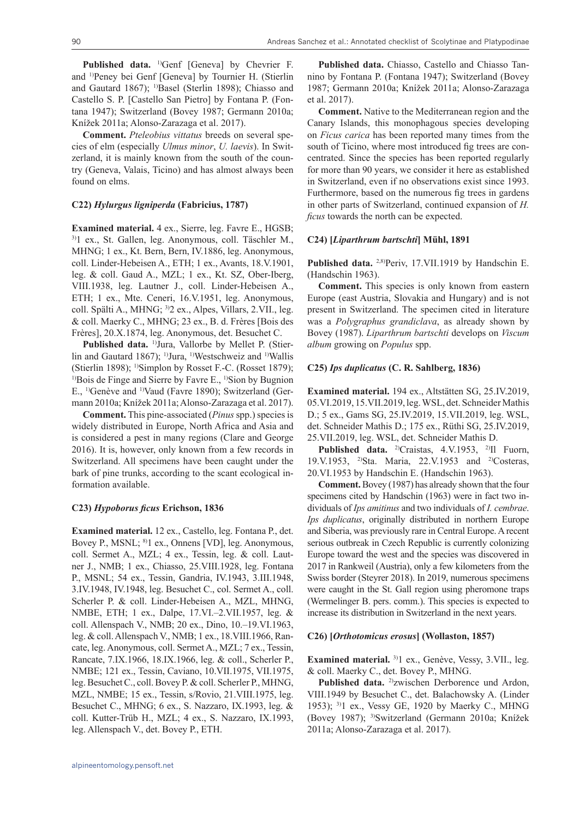Published data. <sup>1)</sup>Genf [Geneva] by Chevrier F. and 1)Peney bei Genf [Geneva] by Tournier H. (Stierlin and Gautard 1867); <sup>1)</sup>Basel (Sterlin 1898); Chiasso and Castello S. P. [Castello San Pietro] by Fontana P. (Fontana 1947); Switzerland (Bovey 1987; Germann 2010a; Knížek 2011a; Alonso-Zarazaga et al. 2017).

**Comment.** *Pteleobius vittatus* breeds on several species of elm (especially *Ulmus minor*, *U. laevis*). In Switzerland, it is mainly known from the south of the country (Geneva, Valais, Ticino) and has almost always been found on elms.

#### **C22)** *Hylurgus ligniperda* **(Fabricius, 1787)**

**Examined material.** 4 ex., Sierre, leg. Favre E., HGSB; 3)1 ex., St. Gallen, leg. Anonymous, coll. Täschler M., MHNG; 1 ex., Kt. Bern, Bern, IV.1886, leg. Anonymous, coll. Linder-Hebeisen A., ETH; 1 ex., Avants, 18.V.1901, leg. & coll. Gaud A., MZL; 1 ex., Kt. SZ, Ober-Iberg, VIII.1938, leg. Lautner J., coll. Linder-Hebeisen A., ETH; 1 ex., Mte. Ceneri, 16.V.1951, leg. Anonymous, coll. Spälti A., MHNG; 3)2 ex., Alpes, Villars, 2.VII., leg. & coll. Maerky C., MHNG; 23 ex., B. d. Frères [Bois des Frères], 20.X.1874, leg. Anonymous, det. Besuchet C.

Published data. <sup>1)</sup>Jura, Vallorbe by Mellet P. (Stierlin and Gautard 1867); <sup>1)</sup>Jura, <sup>1)</sup>Westschweiz and <sup>1)</sup>Wallis (Stierlin 1898); 1)Simplon by Rosset F.-C. (Rosset 1879); <sup>1)</sup>Bois de Finge and Sierre by Favre E., <sup>1)</sup>Sion by Bugnion E., 1)Genève and 1)Vaud (Favre 1890); Switzerland (Germann 2010a; Knížek 2011a; Alonso-Zarazaga et al. 2017).

**Comment.** This pine-associated (*Pinus* spp.) species is widely distributed in Europe, North Africa and Asia and is considered a pest in many regions (Clare and George 2016). It is, however, only known from a few records in Switzerland. All specimens have been caught under the bark of pine trunks, according to the scant ecological information available.

#### **C23)** *Hypoborus ficus* **Erichson, 1836**

**Examined material.** 12 ex., Castello, leg. Fontana P., det. Bovey P., MSNL; 8)1 ex., Onnens [VD], leg. Anonymous, coll. Sermet A., MZL; 4 ex., Tessin, leg. & coll. Lautner J., NMB; 1 ex., Chiasso, 25.VIII.1928, leg. Fontana P., MSNL; 54 ex., Tessin, Gandria, IV.1943, 3.III.1948, 3.IV.1948, IV.1948, leg. Besuchet C., col. Sermet A., coll. Scherler P. & coll. Linder-Hebeisen A., MZL, MHNG, NMBE, ETH; 1 ex., Dalpe, 17.VI.–2.VII.1957, leg. & coll. Allenspach V., NMB; 20 ex., Dino, 10.–19.VI.1963, leg. & coll. Allenspach V., NMB; 1 ex., 18.VIII.1966, Rancate, leg. Anonymous, coll. Sermet A., MZL; 7 ex., Tessin, Rancate, 7.IX.1966, 18.IX.1966, leg. & coll., Scherler P., NMBE; 121 ex., Tessin, Caviano, 10.VII.1975, VII.1975, leg. Besuchet C., coll. Bovey P. & coll. Scherler P., MHNG, MZL, NMBE; 15 ex., Tessin, s/Rovio, 21.VIII.1975, leg. Besuchet C., MHNG; 6 ex., S. Nazzaro, IX.1993, leg. & coll. Kutter-Trüb H., MZL; 4 ex., S. Nazzaro, IX.1993, leg. Allenspach V., det. Bovey P., ETH.

**Published data.** Chiasso, Castello and Chiasso Tannino by Fontana P. (Fontana 1947); Switzerland (Bovey 1987; Germann 2010a; Knížek 2011a; Alonso-Zarazaga et al. 2017).

**Comment.** Native to the Mediterranean region and the Canary Islands, this monophagous species developing on *Ficus carica* has been reported many times from the south of Ticino, where most introduced fig trees are concentrated. Since the species has been reported regularly for more than 90 years, we consider it here as established in Switzerland, even if no observations exist since 1993. Furthermore, based on the numerous fig trees in gardens in other parts of Switzerland, continued expansion of *H. ficus* towards the north can be expected.

#### **C24) [***Liparthrum bartschti***] Mühl, 1891**

Published data.<sup>2,8)</sup>Periv, 17.VII.1919 by Handschin E. (Handschin 1963).

**Comment.** This species is only known from eastern Europe (east Austria, Slovakia and Hungary) and is not present in Switzerland. The specimen cited in literature was a *Polygraphus grandiclava*, as already shown by Bovey (1987). *Liparthrum bartschti* develops on *Viscum album* growing on *Populus* spp.

#### **C25)** *Ips duplicatus* **(C. R. Sahlberg, 1836)**

**Examined material.** 194 ex., Altstätten SG, 25.IV.2019, 05.VI.2019, 15.VII.2019, leg. WSL, det. Schneider Mathis D.; 5 ex., Gams SG, 25.IV.2019, 15.VII.2019, leg. WSL, det. Schneider Mathis D.; 175 ex., Rüthi SG, 25.IV.2019, 25.VII.2019, leg. WSL, det. Schneider Mathis D.

Published data. <sup>2)</sup>Craistas, 4.V.1953, <sup>2)</sup>Il Fuorn, 19.V.1953, 2)Sta. Maria, 22.V.1953 and 2)Costeras, 20.VI.1953 by Handschin E. (Handschin 1963).

**Comment.** Bovey (1987) has already shown that the four specimens cited by Handschin (1963) were in fact two individuals of *Ips amitinus* and two individuals of *I. cembrae*. *Ips duplicatus*, originally distributed in northern Europe and Siberia, was previously rare in Central Europe. A recent serious outbreak in Czech Republic is currently colonizing Europe toward the west and the species was discovered in 2017 in Rankweil (Austria), only a few kilometers from the Swiss border (Steyrer 2018). In 2019, numerous specimens were caught in the St. Gall region using pheromone traps (Wermelinger B. pers. comm.). This species is expected to increase its distribution in Switzerland in the next years.

#### **C26) [***Orthotomicus erosus***] (Wollaston, 1857)**

**Examined material.** 3)1 ex., Genève, Vessy, 3.VII., leg. & coll. Maerky C., det. Bovey P., MHNG.

Published data. <sup>2)</sup>zwischen Derborence und Ardon, VIII.1949 by Besuchet C., det. Balachowsky A. (Linder 1953); 3)1 ex., Vessy GE, 1920 by Maerky C., MHNG (Bovey 1987); 3)Switzerland (Germann 2010a; Knížek 2011a; Alonso-Zarazaga et al. 2017).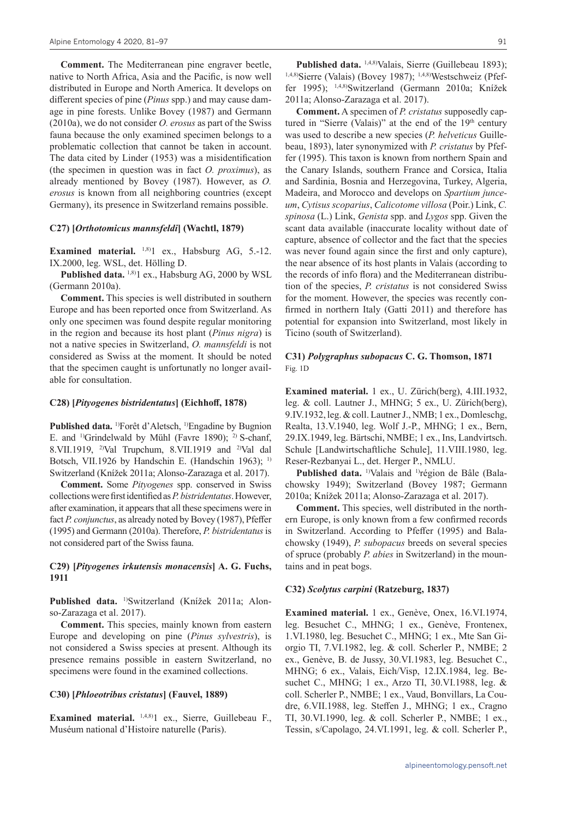**Comment.** The Mediterranean pine engraver beetle, native to North Africa, Asia and the Pacific, is now well distributed in Europe and North America. It develops on different species of pine (*Pinus* spp.) and may cause damage in pine forests. Unlike Bovey (1987) and Germann (2010a), we do not consider *O. erosus* as part of the Swiss fauna because the only examined specimen belongs to a problematic collection that cannot be taken in account. The data cited by Linder (1953) was a misidentification (the specimen in question was in fact *O. proximus*), as already mentioned by Bovey (1987). However, as *O. erosus* is known from all neighboring countries (except Germany), its presence in Switzerland remains possible.

#### **C27) [***Orthotomicus mannsfeldi***] (Wachtl, 1879)**

**Examined material.** <sup>1,8)</sup>1 ex., Habsburg AG, 5.-12. IX.2000, leg. WSL, det. Hölling D.

**Published data.** 1,8)1 ex., Habsburg AG, 2000 by WSL (Germann 2010a).

**Comment.** This species is well distributed in southern Europe and has been reported once from Switzerland. As only one specimen was found despite regular monitoring in the region and because its host plant (*Pinus nigra*) is not a native species in Switzerland, *O. mannsfeldi* is not considered as Swiss at the moment. It should be noted that the specimen caught is unfortunatly no longer available for consultation.

#### **C28) [***Pityogenes bistridentatus***] (Eichhoff, 1878)**

**Published data.** 1)Forêt d'Aletsch, 1)Engadine by Bugnion E. and <sup>1)</sup>Grindelwald by Mühl (Favre 1890); <sup>2)</sup> S-chanf, 8.VII.1919, <sup>2)</sup>Val Trupchum, 8.VII.1919 and <sup>2)</sup>Val dal Botsch, VII.1926 by Handschin E. (Handschin 1963); <sup>1)</sup> Switzerland (Knížek 2011a; Alonso-Zarazaga et al. 2017).

**Comment.** Some *Pityogenes* spp. conserved in Swiss collections were first identified as *P.bistridentatus*. However, after examination, it appears that all these specimens were in fact *P. conjunctus*, as already noted by Bovey (1987), Pfeffer (1995) and Germann (2010a). Therefore, *P. bistridentatus* is not considered part of the Swiss fauna.

#### **C29) [***Pityogenes irkutensis monacensis***] A. G. Fuchs, 1911**

**Published data.** 1)Switzerland (Knížek 2011a; Alonso-Zarazaga et al. 2017).

**Comment.** This species, mainly known from eastern Europe and developing on pine (*Pinus sylvestris*), is not considered a Swiss species at present. Although its presence remains possible in eastern Switzerland, no specimens were found in the examined collections.

#### **C30) [***Phloeotribus cristatus***] (Fauvel, 1889)**

**Examined material.** 1,4,8)1 ex., Sierre, Guillebeau F., Muséum national d'Histoire naturelle (Paris).

Published data. <sup>1,4,8)</sup>Valais, Sierre (Guillebeau 1893); 1,4,8)Sierre (Valais) (Bovey 1987); 1,4,8)Westschweiz (Pfeffer 1995); 1,4,8)Switzerland (Germann 2010a; Knížek 2011a; Alonso-Zarazaga et al. 2017).

**Comment.** A specimen of *P. cristatus* supposedly captured in "Sierre (Valais)" at the end of the 19<sup>th</sup> century was used to describe a new species (*P. helveticus* Guillebeau, 1893), later synonymized with *P. cristatus* by Pfeffer (1995). This taxon is known from northern Spain and the Canary Islands, southern France and Corsica, Italia and Sardinia, Bosnia and Herzegovina, Turkey, Algeria, Madeira, and Morocco and develops on *Spartium junceum*, *Cytisus scoparius*, *Calicotome villosa* (Poir.) Link, *C. spinosa* (L.) Link, *Genista* spp. and *Lygos* spp. Given the scant data available (inaccurate locality without date of capture, absence of collector and the fact that the species was never found again since the first and only capture), the near absence of its host plants in Valais (according to the records of info flora) and the Mediterranean distribution of the species, *P. cristatus* is not considered Swiss for the moment. However, the species was recently confirmed in northern Italy (Gatti 2011) and therefore has potential for expansion into Switzerland, most likely in Ticino (south of Switzerland).

#### **C31)** *Polygraphus subopacus* **C. G. Thomson, 1871** Fig. 1D

**Examined material.** 1 ex., U. Zürich(berg), 4.III.1932, leg. & coll. Lautner J., MHNG; 5 ex., U. Zürich(berg), 9.IV.1932, leg. & coll. Lautner J., NMB; 1 ex., Domleschg, Realta, 13.V.1940, leg. Wolf J.-P., MHNG; 1 ex., Bern, 29.IX.1949, leg. Bärtschi, NMBE; 1 ex., Ins, Landvirtsch. Schule [Landwirtschaftliche Schule], 11.VIII.1980, leg. Reser-Rezbanyai L., det. Herger P., NMLU.

Published data.<sup>1)</sup>Valais and <sup>1)</sup>région de Bâle (Balachowsky 1949); Switzerland (Bovey 1987; Germann 2010a; Knížek 2011a; Alonso-Zarazaga et al. 2017).

**Comment.** This species, well distributed in the northern Europe, is only known from a few confirmed records in Switzerland. According to Pfeffer (1995) and Balachowsky (1949), *P. subopacus* breeds on several species of spruce (probably *P. abies* in Switzerland) in the mountains and in peat bogs.

#### **C32)** *Scolytus carpini* **(Ratzeburg, 1837)**

**Examined material.** 1 ex., Genève, Onex, 16.VI.1974, leg. Besuchet C., MHNG; 1 ex., Genève, Frontenex, 1.VI.1980, leg. Besuchet C., MHNG; 1 ex., Mte San Giorgio TI, 7.VI.1982, leg. & coll. Scherler P., NMBE; 2 ex., Genève, B. de Jussy, 30.VI.1983, leg. Besuchet C., MHNG; 6 ex., Valais, Eich/Visp, 12.IX.1984, leg. Besuchet C., MHNG; 1 ex., Arzo TI, 30.VI.1988, leg. & coll. Scherler P., NMBE; 1 ex., Vaud, Bonvillars, La Coudre, 6.VII.1988, leg. Steffen J., MHNG; 1 ex., Cragno TI, 30.VI.1990, leg. & coll. Scherler P., NMBE; 1 ex., Tessin, s/Capolago, 24.VI.1991, leg. & coll. Scherler P.,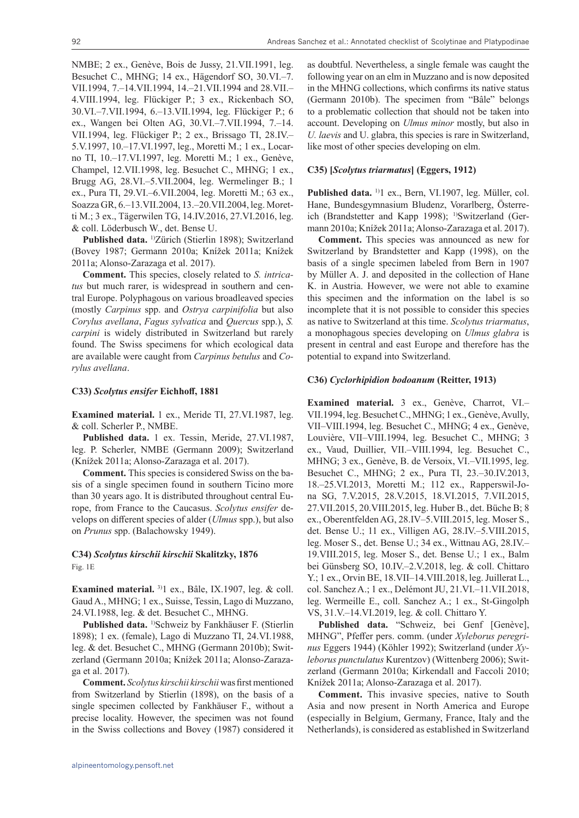NMBE; 2 ex., Genève, Bois de Jussy, 21.VII.1991, leg. Besuchet C., MHNG; 14 ex., Hägendorf SO, 30.VI.–7. VII.1994, 7.–14.VII.1994, 14.–21.VII.1994 and 28.VII.– 4.VIII.1994, leg. Flückiger P.; 3 ex., Rickenbach SO, 30.VI.–7.VII.1994, 6.–13.VII.1994, leg. Flückiger P.; 6 ex., Wangen bei Olten AG, 30.VI.–7.VII.1994, 7.–14. VII.1994, leg. Flückiger P.; 2 ex., Brissago TI, 28.IV.– 5.V.1997, 10.–17.VI.1997, leg., Moretti M.; 1 ex., Locarno TI, 10.–17.VI.1997, leg. Moretti M.; 1 ex., Genève, Champel, 12.VII.1998, leg. Besuchet C., MHNG; 1 ex., Brugg AG, 28.VI.–5.VII.2004, leg. Wermelinger B.; 1 ex., Pura TI, 29.VI.–6.VII.2004, leg. Moretti M.; 63 ex., Soazza GR, 6.–13.VII.2004, 13.–20.VII.2004, leg. Moretti M.; 3 ex., Tägerwilen TG, 14.IV.2016, 27.VI.2016, leg. & coll. Löderbusch W., det. Bense U.

**Published data.** 1)Zürich (Stierlin 1898); Switzerland (Bovey 1987; Germann 2010a; Knížek 2011a; Knížek 2011a; Alonso-Zarazaga et al. 2017).

**Comment.** This species, closely related to *S. intricatus* but much rarer, is widespread in southern and central Europe. Polyphagous on various broadleaved species (mostly *Carpinus* spp. and *Ostrya carpinifolia* but also *Corylus avellana*, *Fagus sylvatica* and *Quercus* spp.), *S. carpini* is widely distributed in Switzerland but rarely found. The Swiss specimens for which ecological data are available were caught from *Carpinus betulus* and *Corylus avellana*.

#### **C33)** *Scolytus ensifer* **Eichhoff, 1881**

**Examined material.** 1 ex., Meride TI, 27.VI.1987, leg. & coll. Scherler P., NMBE.

**Published data.** 1 ex. Tessin, Meride, 27.VI.1987, leg. P. Scherler, NMBE (Germann 2009); Switzerland (Knížek 2011a; Alonso-Zarazaga et al. 2017).

**Comment.** This species is considered Swiss on the basis of a single specimen found in southern Ticino more than 30 years ago. It is distributed throughout central Europe, from France to the Caucasus. *Scolytus ensifer* develops on different species of alder (*Ulmus* spp.), but also on *Prunus* spp. (Balachowsky 1949).

#### **C34)** *Scolytus kirschii kirschii* **Skalitzky, 1876** Fig. 1E

**Examined material.** 3)1 ex., Bâle, IX.1907, leg. & coll. Gaud A., MHNG; 1 ex., Suisse, Tessin, Lago di Muzzano, 24.VI.1988, leg. & det. Besuchet C., MHNG.

**Published data.** 1)Schweiz by Fankhäuser F. (Stierlin 1898); 1 ex. (female), Lago di Muzzano TI, 24.VI.1988, leg. & det. Besuchet C., MHNG (Germann 2010b); Switzerland (Germann 2010a; Knížek 2011a; Alonso-Zarazaga et al. 2017).

**Comment.** *Scolytus kirschii kirschii* was first mentioned from Switzerland by Stierlin (1898), on the basis of a single specimen collected by Fankhäuser F., without a precise locality. However, the specimen was not found in the Swiss collections and Bovey (1987) considered it as doubtful. Nevertheless, a single female was caught the following year on an elm in Muzzano and is now deposited in the MHNG collections, which confirms its native status (Germann 2010b). The specimen from "Bâle" belongs to a problematic collection that should not be taken into account. Developing on *Ulmus minor* mostly, but also in *U. laevis* and U. glabra, this species is rare in Switzerland, like most of other species developing on elm.

#### **C35) [***Scolytus triarmatus***] (Eggers, 1912)**

Published data.<sup>1)</sup>1 ex., Bern, VI.1907, leg. Müller, col. Hane, Bundesgymnasium Bludenz, Vorarlberg, Österreich (Brandstetter and Kapp 1998); <sup>1)</sup>Switzerland (Germann 2010a; Knížek 2011a; Alonso-Zarazaga et al. 2017).

**Comment.** This species was announced as new for Switzerland by Brandstetter and Kapp (1998), on the basis of a single specimen labeled from Bern in 1907 by Müller A. J. and deposited in the collection of Hane K. in Austria. However, we were not able to examine this specimen and the information on the label is so incomplete that it is not possible to consider this species as native to Switzerland at this time. *Scolytus triarmatus*, a monophagous species developing on *Ulmus glabra* is present in central and east Europe and therefore has the potential to expand into Switzerland.

#### **C36)** *Cyclorhipidion bodoanum* **(Reitter, 1913)**

**Examined material.** 3 ex., Genève, Charrot, VI.– VII.1994, leg. Besuchet C., MHNG; 1 ex., Genève, Avully, VII–VIII.1994, leg. Besuchet C., MHNG; 4 ex., Genève, Louvière, VII–VIII.1994, leg. Besuchet C., MHNG; 3 ex., Vaud, Duillier, VII.–VIII.1994, leg. Besuchet C., MHNG; 3 ex., Genève, B. de Versoix, VI.–VII.1995, leg. Besuchet C., MHNG; 2 ex., Pura TI, 23.–30.IV.2013, 18.–25.VI.2013, Moretti M.; 112 ex., Rapperswil-Jona SG, 7.V.2015, 28.V.2015, 18.VI.2015, 7.VII.2015, 27.VII.2015, 20.VIII.2015, leg. Huber B., det. Büche B; 8 ex., Oberentfelden AG, 28.IV–5.VIII.2015, leg. Moser S., det. Bense U.; 11 ex., Villigen AG, 28.IV.–5.VIII.2015, leg. Moser S., det. Bense U.; 34 ex., Wittnau AG, 28.IV.– 19.VIII.2015, leg. Moser S., det. Bense U.; 1 ex., Balm bei Günsberg SO, 10.IV.–2.V.2018, leg. & coll. Chittaro Y.; 1 ex., Orvin BE, 18.VII–14.VIII.2018, leg. Juillerat L., col. Sanchez A.; 1 ex., Delémont JU, 21.VI.–11.VII.2018, leg. Wermeille E., coll. Sanchez A.; 1 ex., St-Gingolph VS, 31.V.–14.VI.2019, leg. & coll. Chittaro Y.

Published data. "Schweiz, bei Genf [Genève], MHNG", Pfeffer pers. comm. (under *Xyleborus peregrinus* Eggers 1944) (Köhler 1992); Switzerland (under *Xyleborus punctulatus* Kurentzov) (Wittenberg 2006); Switzerland (Germann 2010a; Kirkendall and Faccoli 2010; Knížek 2011a; Alonso-Zarazaga et al. 2017).

**Comment.** This invasive species, native to South Asia and now present in North America and Europe (especially in Belgium, Germany, France, Italy and the Netherlands), is considered as established in Switzerland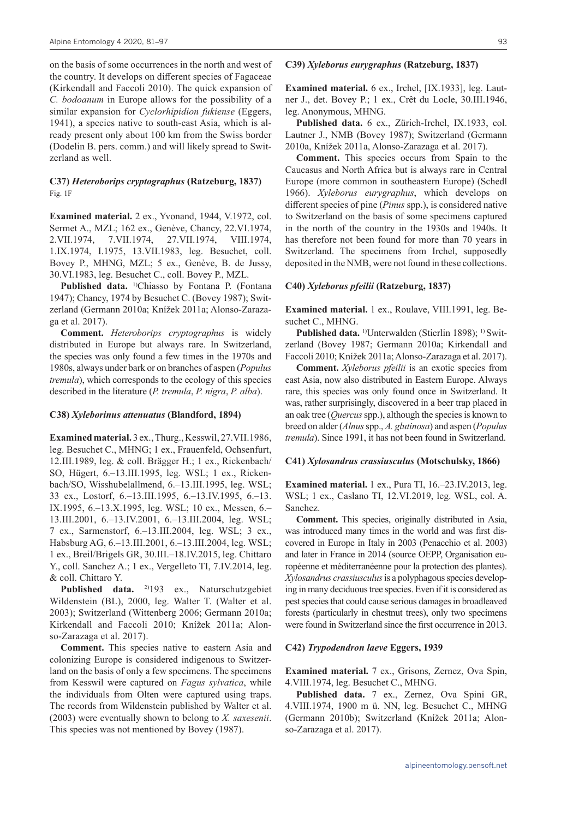on the basis of some occurrences in the north and west of the country. It develops on different species of Fagaceae (Kirkendall and Faccoli 2010). The quick expansion of *C. bodoanum* in Europe allows for the possibility of a similar expansion for *Cyclorhipidion fukiense* (Eggers, 1941), a species native to south-east Asia, which is already present only about 100 km from the Swiss border (Dodelin B. pers. comm.) and will likely spread to Switzerland as well.

#### **C37)** *Heteroborips cryptographus* **(Ratzeburg, 1837)** Fig. 1F

**Examined material.** 2 ex., Yvonand, 1944, V.1972, col. Sermet A., MZL; 162 ex., Genève, Chancy, 22.VI.1974, 2.VII.1974, 7.VII.1974, 27.VII.1974, VIII.1974, 1.IX.1974, I.1975, 13.VII.1983, leg. Besuchet, coll. Bovey P., MHNG, MZL; 5 ex., Genève, B. de Jussy, 30.VI.1983, leg. Besuchet C., coll. Bovey P., MZL.

Published data. <sup>1)</sup>Chiasso by Fontana P. (Fontana 1947); Chancy, 1974 by Besuchet C. (Bovey 1987); Switzerland (Germann 2010a; Knížek 2011a; Alonso-Zarazaga et al. 2017).

**Comment.** *Heteroborips cryptographus* is widely distributed in Europe but always rare. In Switzerland, the species was only found a few times in the 1970s and 1980s, always under bark or on branches of aspen (*Populus tremula*), which corresponds to the ecology of this species described in the literature (*P. tremula*, *P. nigra*, *P. alba*).

#### **C38)** *Xyleborinus attenuatus* **(Blandford, 1894)**

**Examined material.** 3 ex., Thurg., Kesswil, 27.VII.1986, leg. Besuchet C., MHNG; 1 ex., Frauenfeld, Ochsenfurt, 12.III.1989, leg. & coll. Brägger H.; 1 ex., Rickenbach/ SO, Hügert, 6.–13.III.1995, leg. WSL; 1 ex., Rickenbach/SO, Wisshubelallmend, 6.–13.III.1995, leg. WSL; 33 ex., Lostorf, 6.–13.III.1995, 6.–13.IV.1995, 6.–13. IX.1995, 6.–13.X.1995, leg. WSL; 10 ex., Messen, 6.– 13.III.2001, 6.–13.IV.2001, 6.–13.III.2004, leg. WSL; 7 ex., Sarmenstorf, 6.–13.III.2004, leg. WSL; 3 ex., Habsburg AG, 6.–13.III.2001, 6.–13.III.2004, leg. WSL; 1 ex., Breil/Brigels GR, 30.III.–18.IV.2015, leg. Chittaro Y., coll. Sanchez A.; 1 ex., Vergelleto TI, 7.IV.2014, leg. & coll. Chittaro Y.

Published data. <sup>2)</sup>193 ex., Naturschutzgebiet Wildenstein (BL), 2000, leg. Walter T. (Walter et al. 2003); Switzerland (Wittenberg 2006; Germann 2010a; Kirkendall and Faccoli 2010; Knížek 2011a; Alonso-Zarazaga et al. 2017).

**Comment.** This species native to eastern Asia and colonizing Europe is considered indigenous to Switzerland on the basis of only a few specimens. The specimens from Kesswil were captured on *Fagus sylvatica*, while the individuals from Olten were captured using traps. The records from Wildenstein published by Walter et al. (2003) were eventually shown to belong to *X. saxesenii*. This species was not mentioned by Bovey (1987).

#### **C39)** *Xyleborus eurygraphus* **(Ratzeburg, 1837)**

**Examined material.** 6 ex., Irchel, [IX.1933], leg. Lautner J., det. Bovey P.; 1 ex., Crêt du Locle, 30.III.1946, leg. Anonymous, MHNG.

**Published data.** 6 ex., Zürich-Irchel, IX.1933, col. Lautner J., NMB (Bovey 1987); Switzerland (Germann 2010a, Knížek 2011a, Alonso-Zarazaga et al. 2017).

**Comment.** This species occurs from Spain to the Caucasus and North Africa but is always rare in Central Europe (more common in southeastern Europe) (Schedl 1966). *Xyleborus eurygraphus*, which develops on different species of pine (*Pinus* spp.), is considered native to Switzerland on the basis of some specimens captured in the north of the country in the 1930s and 1940s. It has therefore not been found for more than 70 years in Switzerland. The specimens from Irchel, supposedly deposited in the NMB, were not found in these collections.

#### **C40)** *Xyleborus pfeilii* **(Ratzeburg, 1837)**

**Examined material.** 1 ex., Roulave, VIII.1991, leg. Besuchet C., MHNG.

Published data.<sup>1)</sup>Unterwalden (Stierlin 1898);<sup>1)</sup>Switzerland (Bovey 1987; Germann 2010a; Kirkendall and Faccoli 2010; Knížek 2011a; Alonso-Zarazaga et al. 2017).

**Comment.** *Xyleborus pfeilii* is an exotic species from east Asia, now also distributed in Eastern Europe. Always rare, this species was only found once in Switzerland. It was, rather surprisingly, discovered in a beer trap placed in an oak tree (*Quercus* spp.), although the species is known to breed on alder (*Alnus* spp., *A. glutinosa*) and aspen (*Populus tremula*). Since 1991, it has not been found in Switzerland.

#### **C41)** *Xylosandrus crassiusculus* **(Motschulsky, 1866)**

**Examined material.** 1 ex., Pura TI, 16.–23.IV.2013, leg. WSL; 1 ex., Caslano TI, 12.VI.2019, leg. WSL, col. A. Sanchez.

**Comment.** This species, originally distributed in Asia, was introduced many times in the world and was first discovered in Europe in Italy in 2003 (Penacchio et al. 2003) and later in France in 2014 (source OEPP, Organisation européenne et méditerranéenne pour la protection des plantes). *Xylosandrus crassiusculus* is a polyphagous species developing in many deciduous tree species. Even if it is considered as pest species that could cause serious damages in broadleaved forests (particularly in chestnut trees), only two specimens were found in Switzerland since the first occurrence in 2013.

#### **C42)** *Trypodendron laeve* **Eggers, 1939**

**Examined material.** 7 ex., Grisons, Zernez, Ova Spin, 4.VIII.1974, leg. Besuchet C., MHNG.

**Published data.** 7 ex., Zernez, Ova Spini GR, 4.VIII.1974, 1900 m ü. NN, leg. Besuchet C., MHNG (Germann 2010b); Switzerland (Knížek 2011a; Alonso-Zarazaga et al. 2017).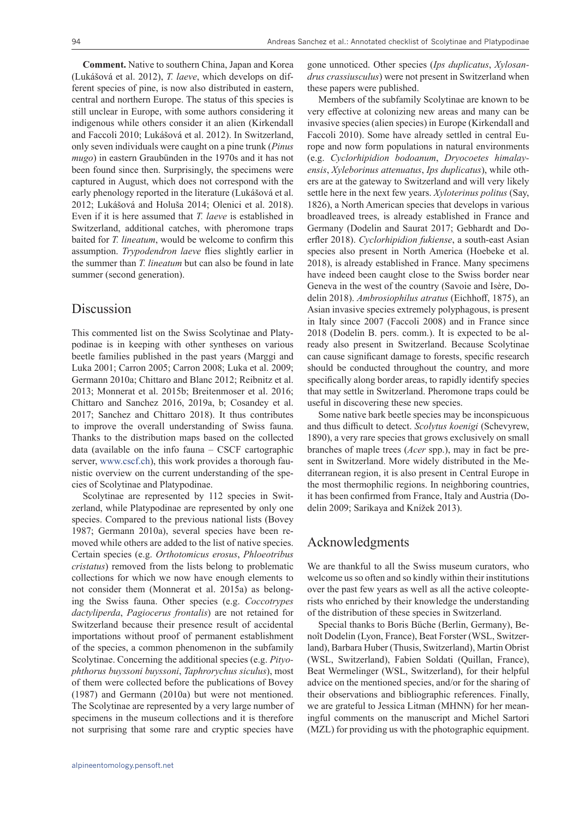**Comment.** Native to southern China, Japan and Korea (Lukášová et al. 2012), *T. laeve*, which develops on different species of pine, is now also distributed in eastern, central and northern Europe. The status of this species is still unclear in Europe, with some authors considering it indigenous while others consider it an alien (Kirkendall and Faccoli 2010; Lukášová et al. 2012). In Switzerland, only seven individuals were caught on a pine trunk (*Pinus mugo*) in eastern Graubünden in the 1970s and it has not been found since then. Surprisingly, the specimens were captured in August, which does not correspond with the early phenology reported in the literature (Lukášová et al. 2012; Lukášová and Holuša 2014; Olenici et al. 2018). Even if it is here assumed that *T. laeve* is established in Switzerland, additional catches, with pheromone traps baited for *T. lineatum*, would be welcome to confirm this assumption. *Trypodendron laeve* flies slightly earlier in the summer than *T. lineatum* but can also be found in late summer (second generation).

## Discussion

This commented list on the Swiss Scolytinae and Platypodinae is in keeping with other syntheses on various beetle families published in the past years (Marggi and Luka 2001; Carron 2005; Carron 2008; Luka et al. 2009; Germann 2010a; Chittaro and Blanc 2012; Reibnitz et al. 2013; Monnerat et al. 2015b; Breitenmoser et al. 2016; Chittaro and Sanchez 2016, 2019a, b; Cosandey et al. 2017; Sanchez and Chittaro 2018). It thus contributes to improve the overall understanding of Swiss fauna. Thanks to the distribution maps based on the collected data (available on the info fauna – CSCF cartographic server, www.cscf.ch), this work provides a thorough faunistic overview on the current understanding of the species of Scolytinae and Platypodinae.

Scolytinae are represented by 112 species in Switzerland, while Platypodinae are represented by only one species. Compared to the previous national lists (Bovey 1987; Germann 2010a), several species have been removed while others are added to the list of native species. Certain species (e.g. *Orthotomicus erosus*, *Phloeotribus cristatus*) removed from the lists belong to problematic collections for which we now have enough elements to not consider them (Monnerat et al. 2015a) as belonging the Swiss fauna. Other species (e.g. *Coccotrypes dactyliperda*, *Pagiocerus frontalis*) are not retained for Switzerland because their presence result of accidental importations without proof of permanent establishment of the species, a common phenomenon in the subfamily Scolytinae. Concerning the additional species (e.g. *Pityophthorus buyssoni buyssoni*, *Taphrorychus siculus*), most of them were collected before the publications of Bovey (1987) and Germann (2010a) but were not mentioned. The Scolytinae are represented by a very large number of specimens in the museum collections and it is therefore not surprising that some rare and cryptic species have

gone unnoticed. Other species (*Ips duplicatus*, *Xylosandrus crassiusculus*) were not present in Switzerland when these papers were published.

Members of the subfamily Scolytinae are known to be very effective at colonizing new areas and many can be invasive species (alien species) in Europe (Kirkendall and Faccoli 2010). Some have already settled in central Europe and now form populations in natural environments (e.g. *Cyclorhipidion bodoanum*, *Dryocoetes himalayensis*, *Xyleborinus attenuatus*, *Ips duplicatus*), while others are at the gateway to Switzerland and will very likely settle here in the next few years. *Xyloterinus politus* (Say, 1826), a North American species that develops in various broadleaved trees, is already established in France and Germany (Dodelin and Saurat 2017; Gebhardt and Doerfler 2018). *Cyclorhipidion fukiense*, a south-east Asian species also present in North America (Hoebeke et al. 2018), is already established in France. Many specimens have indeed been caught close to the Swiss border near Geneva in the west of the country (Savoie and Isère, Dodelin 2018). *Ambrosiophilus atratus* (Eichhoff, 1875), an Asian invasive species extremely polyphagous, is present in Italy since 2007 (Faccoli 2008) and in France since 2018 (Dodelin B. pers. comm.). It is expected to be already also present in Switzerland. Because Scolytinae can cause significant damage to forests, specific research should be conducted throughout the country, and more specifically along border areas, to rapidly identify species that may settle in Switzerland. Pheromone traps could be useful in discovering these new species.

Some native bark beetle species may be inconspicuous and thus difficult to detect. *Scolytus koenigi* (Schevyrew, 1890), a very rare species that grows exclusively on small branches of maple trees (*Acer* spp.), may in fact be present in Switzerland. More widely distributed in the Mediterranean region, it is also present in Central Europe in the most thermophilic regions. In neighboring countries, it has been confirmed from France, Italy and Austria (Dodelin 2009; Sarikaya and Knížek 2013).

## Acknowledgments

We are thankful to all the Swiss museum curators, who welcome us so often and so kindly within their institutions over the past few years as well as all the active coleopterists who enriched by their knowledge the understanding of the distribution of these species in Switzerland.

Special thanks to Boris Büche (Berlin, Germany), Benoît Dodelin (Lyon, France), Beat Forster (WSL, Switzerland), Barbara Huber (Thusis, Switzerland), Martin Obrist (WSL, Switzerland), Fabien Soldati (Quillan, France), Beat Wermelinger (WSL, Switzerland), for their helpful advice on the mentioned species, and/or for the sharing of their observations and bibliographic references. Finally, we are grateful to Jessica Litman (MHNN) for her meaningful comments on the manuscript and Michel Sartori (MZL) for providing us with the photographic equipment.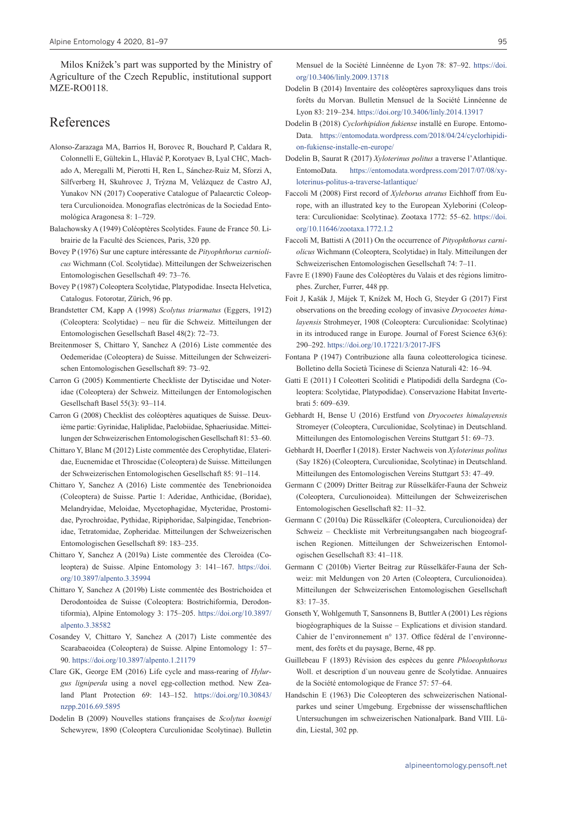Milos Knížek's part was supported by the Ministry of Agriculture of the Czech Republic, institutional support MZE-RO0118.

## References

- Alonso-Zarazaga MA, Barrios H, Borovec R, Bouchard P, Caldara R, Colonnelli E, Gültekin L, Hlaváč P, Korotyaev B, Lyal CHC, Machado A, Meregalli M, Pierotti H, Ren L, Sánchez-Ruiz M, Sforzi A, Silfverberg H, Skuhrovec J, Trýzna M, Velázquez de Castro AJ, Yunakov NN (2017) Cooperative Catalogue of Palaearctic Coleoptera Curculionoidea. Monografías electrónicas de la Sociedad Entomológica Aragonesa 8: 1–729.
- Balachowsky A (1949) Coléoptères Scolytides. Faune de France 50. Librairie de la Faculté des Sciences, Paris, 320 pp.
- Bovey P (1976) Sur une capture intéressante de *Pityophthorus carniolicus* Wichmann (Col. Scolytidae). Mitteilungen der Schweizerischen Entomologischen Gesellschaft 49: 73–76.
- Bovey P (1987) Coleoptera Scolytidae, Platypodidae. Insecta Helvetica, Catalogus. Fotorotar, Zürich, 96 pp.
- Brandstetter CM, Kapp A (1998) *Scolytus triarmatus* (Eggers, 1912) (Coleoptera: Scolytidae) – neu für die Schweiz. Mitteilungen der Entomologischen Gesellschaft Basel 48(2): 72–73.
- Breitenmoser S, Chittaro Y, Sanchez A (2016) Liste commentée des Oedemeridae (Coleoptera) de Suisse. Mitteilungen der Schweizerischen Entomologischen Gesellschaft 89: 73–92.
- Carron G (2005) Kommentierte Checkliste der Dytiscidae und Noteridae (Coleoptera) der Schweiz. Mitteilungen der Entomologischen Gesellschaft Basel 55(3): 93–114.
- Carron G (2008) Checklist des coléoptères aquatiques de Suisse. Deuxième partie: Gyrinidae, Haliplidae, Paelobiidae, Sphaeriusidae. Mitteilungen der Schweizerischen Entomologischen Gesellschaft 81: 53–60.
- Chittaro Y, Blanc M (2012) Liste commentée des Cerophytidae, Elateridae, Eucnemidae et Throscidae (Coleoptera) de Suisse. Mitteilungen der Schweizerischen Entomologischen Gesellschaft 85: 91–114.
- Chittaro Y, Sanchez A (2016) Liste commentée des Tenebrionoidea (Coleoptera) de Suisse. Partie 1: Aderidae, Anthicidae, (Boridae), Melandryidae, Meloidae, Mycetophagidae, Mycteridae, Prostomidae, Pyrochroidae, Pythidae, Ripiphoridae, Salpingidae, Tenebrionidae, Tetratomidae, Zopheridae. Mitteilungen der Schweizerischen Entomologischen Gesellschaft 89: 183–235.
- Chittaro Y, Sanchez A (2019a) Liste commentée des Cleroidea (Coleoptera) de Suisse. Alpine Entomology 3: 141–167. [https://doi.](https://doi.org/10.3897/alpento.3.35994) [org/10.3897/alpento.3.35994](https://doi.org/10.3897/alpento.3.35994)
- Chittaro Y, Sanchez A (2019b) Liste commentée des Bostrichoidea et Derodontoidea de Suisse (Coleoptera: Bostrichiformia, Derodontiformia), Alpine Entomology 3: 175–205. [https://doi.org/10.3897/](https://doi.org/10.3897/alpento.3.38582) [alpento.3.38582](https://doi.org/10.3897/alpento.3.38582)
- Cosandey V, Chittaro Y, Sanchez A (2017) Liste commentée des Scarabaeoidea (Coleoptera) de Suisse. Alpine Entomology 1: 57– 90.<https://doi.org/10.3897/alpento.1.21179>
- Clare GK, George EM (2016) Life cycle and mass-rearing of *Hylurgus ligniperda* using a novel egg-collection method. New Zealand Plant Protection 69: 143–152. [https://doi.org/10.30843/](https://doi.org/10.30843/nzpp.2016.69.5895) [nzpp.2016.69.5895](https://doi.org/10.30843/nzpp.2016.69.5895)
- Dodelin B (2009) Nouvelles stations françaises de *Scolytus koenigi* Schewyrew, 1890 (Coleoptera Curculionidae Scolytinae). Bulletin

Mensuel de la Société Linnéenne de Lyon 78: 87–92. [https://doi.](https://doi.org/10.3406/linly.2009.13718) [org/10.3406/linly.2009.13718](https://doi.org/10.3406/linly.2009.13718)

- Dodelin B (2014) Inventaire des coléoptères saproxyliques dans trois forêts du Morvan. Bulletin Mensuel de la Société Linnéenne de Lyon 83: 219–234.<https://doi.org/10.3406/linly.2014.13917>
- Dodelin B (2018) *Cyclorhipidion fukiense* installé en Europe. Entomo-Data. [https://entomodata.wordpress.com/2018/04/24/cyclorhipidi](https://entomodata.wordpress.com/2018/04/24/cyclorhipidion-fukiense-installe-en-europe/)[on-fukiense-installe-en-europe/](https://entomodata.wordpress.com/2018/04/24/cyclorhipidion-fukiense-installe-en-europe/)
- Dodelin B, Saurat R (2017) *Xyloterinus politus* a traverse l'Atlantique. EntomoData. [https://entomodata.wordpress.com/2017/07/08/xy](https://entomodata.wordpress.com/2017/07/08/xyloterinus-politus-a-traverse-latlantique/)[loterinus-politus-a-traverse-latlantique/](https://entomodata.wordpress.com/2017/07/08/xyloterinus-politus-a-traverse-latlantique/)
- Faccoli M (2008) First record of *Xyleborus atratus* Eichhoff from Europe, with an illustrated key to the European Xyleborini (Coleoptera: Curculionidae: Scolytinae). Zootaxa 1772: 55–62. [https://doi.](https://doi.org/10.11646/zootaxa.1772.1.2) [org/10.11646/zootaxa.1772.1.2](https://doi.org/10.11646/zootaxa.1772.1.2)
- Faccoli M, Battisti A (2011) On the occurrence of *Pityophthorus carniolicus* Wichmann (Coleoptera, Scolytidae) in Italy. Mitteilungen der Schweizerischen Entomologischen Gesellschaft 74: 7–11.
- Favre E (1890) Faune des Coléoptères du Valais et des régions limitrophes. Zurcher, Furrer, 448 pp.
- Foit J, Kašák J, Májek T, Knížek M, Hoch G, Steyder G (2017) First observations on the breeding ecology of invasive *Dryocoetes himalayensis* Strohmeyer, 1908 (Coleoptera: Curculionidae: Scolytinae) in its introduced range in Europe. Journal of Forest Science 63(6): 290–292. <https://doi.org/10.17221/3/2017-JFS>
- Fontana P (1947) Contribuzione alla fauna coleotterologica ticinese. Bolletino della Società Ticinese di Scienza Naturali 42: 16–94.
- Gatti E (2011) I Coleotteri Scolitidi e Platipodidi della Sardegna (Coleoptera: Scolytidae, Platypodidae). Conservazione Habitat Invertebrati 5: 609–639.
- Gebhardt H, Bense U (2016) Erstfund von *Dryocoetes himalayensis* Stromeyer (Coleoptera, Curculionidae, Scolytinae) in Deutschland. Mitteilungen des Entomologischen Vereins Stuttgart 51: 69–73.
- Gebhardt H, Doerfler I (2018). Erster Nachweis von *Xyloterinus politus* (Say 1826) (Coleoptera, Curculionidae, Scolytinae) in Deutschland. Mitteilungen des Entomologischen Vereins Stuttgart 53: 47–49.
- Germann C (2009) Dritter Beitrag zur Rüsselkäfer-Fauna der Schweiz (Coleoptera, Curculionoidea). Mitteilungen der Schweizerischen Entomologischen Gesellschaft 82: 11–32.
- Germann C (2010a) Die Rüsselkäfer (Coleoptera, Curculionoidea) der Schweiz – Checkliste mit Verbreitungsangaben nach biogeografischen Regionen. Mitteilungen der Schweizerischen Entomologischen Gesellschaft 83: 41–118.
- Germann C (2010b) Vierter Beitrag zur Rüsselkäfer-Fauna der Schweiz: mit Meldungen von 20 Arten (Coleoptera, Curculionoidea). Mitteilungen der Schweizerischen Entomologischen Gesellschaft 83: 17–35.
- Gonseth Y, Wohlgemuth T, Sansonnens B, Buttler A (2001) Les régions biogéographiques de la Suisse – Explications et division standard. Cahier de l'environnement n° 137. Office fédéral de l'environnement, des forêts et du paysage, Berne, 48 pp.
- Guillebeau F (1893) Révision des espèces du genre *Phloeophthorus* Woll. et description d`un nouveau genre de Scolytidae. Annuaires de la Société entomologique de France 57: 57–64.
- Handschin E (1963) Die Coleopteren des schweizerischen Nationalparkes und seiner Umgebung. Ergebnisse der wissenschaftlichen Untersuchungen im schweizerischen Nationalpark. Band VIII. Lüdin, Liestal, 302 pp.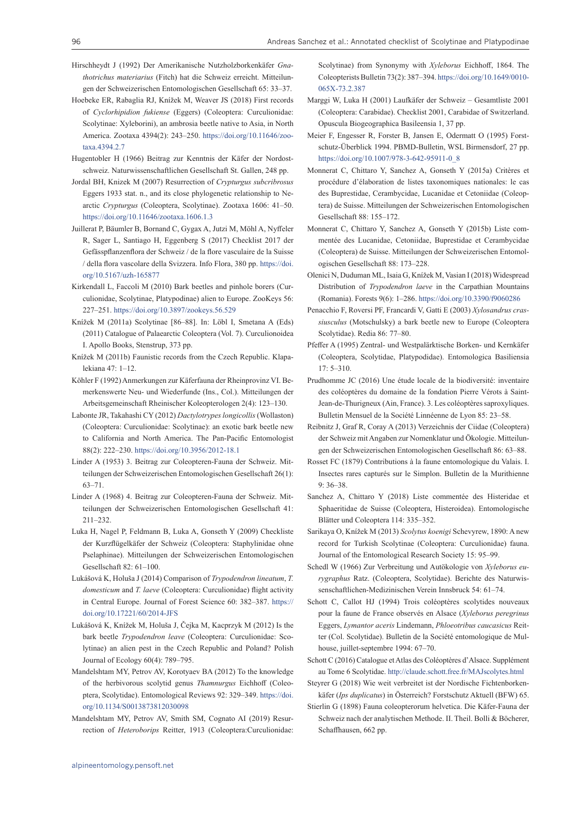- Hirschheydt J (1992) Der Amerikanische Nutzholzborkenkäfer *Gnathotrichus materiarius* (Fitch) hat die Schweiz erreicht. Mitteilungen der Schweizerischen Entomologischen Gesellschaft 65: 33–37.
- Hoebeke ER, Rabaglia RJ, Knížek M, Weaver JS (2018) First records of *Cyclorhipidion fukiense* (Eggers) (Coleoptera: Curculionidae: Scolytinae: Xyleborini), an ambrosia beetle native to Asia, in North America. Zootaxa 4394(2): 243–250. [https://doi.org/10.11646/zoo](https://doi.org/10.11646/zootaxa.4394.2.7)[taxa.4394.2.7](https://doi.org/10.11646/zootaxa.4394.2.7)
- Hugentobler H (1966) Beitrag zur Kenntnis der Käfer der Nordostschweiz. Naturwissenschaftlichen Gesellschaft St. Gallen, 248 pp.
- Jordal BH, Knizek M (2007) Resurrection of *Crypturgus subcribrosus* Eggers 1933 stat. n., and its close phylogenetic relationship to Nearctic *Crypturgus* (Coleoptera, Scolytinae). Zootaxa 1606: 41–50. <https://doi.org/10.11646/zootaxa.1606.1.3>
- Juillerat P, Bäumler B, Bornand C, Gygax A, Jutzi M, Möhl A, Nyffeler R, Sager L, Santiago H, Eggenberg S (2017) Checklist 2017 der Gefässpflanzenflora der Schweiz / de la flore vasculaire de la Suisse / della flora vascolare della Svizzera. Info Flora, 380 pp. [https://doi.](https://doi.org/10.5167/uzh-165877) [org/10.5167/uzh-165877](https://doi.org/10.5167/uzh-165877)
- Kirkendall L, Faccoli M (2010) Bark beetles and pinhole borers (Curculionidae, Scolytinae, Platypodinae) alien to Europe. ZooKeys 56: 227–251.<https://doi.org/10.3897/zookeys.56.529>
- Knížek M (2011a) Scolytinae [86–88]. In: Löbl I, Smetana A (Eds) (2011) Catalogue of Palaearctic Coleoptera (Vol. 7). Curculionoidea I. Apollo Books, Stenstrup, 373 pp.
- Knížek M (2011b) Faunistic records from the Czech Republic. Klapalekiana 47: 1–12.
- Köhler F (1992) Anmerkungen zur Käferfauna der Rheinprovinz VI. Bemerkenswerte Neu- und Wiederfunde (Ins., Col.). Mitteilungen der Arbeitsgemeinschaft Rheinischer Koleopterologen 2(4): 123–130.
- Labonte JR, Takahashi CY (2012) *Dactylotrypes longicollis* (Wollaston) (Coleoptera: Curculionidae: Scolytinae): an exotic bark beetle new to California and North America. The Pan-Pacific Entomologist 88(2): 222–230. <https://doi.org/10.3956/2012-18.1>
- Linder A (1953) 3. Beitrag zur Coleopteren-Fauna der Schweiz. Mitteilungen der Schweizerischen Entomologischen Gesellschaft 26(1): 63–71.
- Linder A (1968) 4. Beitrag zur Coleopteren-Fauna der Schweiz. Mitteilungen der Schweizerischen Entomologischen Gesellschaft 41: 211–232.
- Luka H, Nagel P, Feldmann B, Luka A, Gonseth Y (2009) Checkliste der Kurzflügelkäfer der Schweiz (Coleoptera: Staphylinidae ohne Pselaphinae). Mitteilungen der Schweizerischen Entomologischen Gesellschaft 82: 61–100.
- Lukášová K, Holuša J (2014) Comparison of *Trypodendron lineatum*, *T. domesticum* and *T. laeve* (Coleoptera: Curculionidae) flight activity in Central Europe. Journal of Forest Science 60: 382–387. [https://](https://doi.org/10.17221/60/2014-JFS) [doi.org/10.17221/60/2014-JFS](https://doi.org/10.17221/60/2014-JFS)
- Lukášová K, Knížek M, Holuša J, Čejka M, Kacprzyk M (2012) Is the bark beetle *Trypodendron leave* (Coleoptera: Curculionidae: Scolytinae) an alien pest in the Czech Republic and Poland? Polish Journal of Ecology 60(4): 789–795.
- Mandelshtam MY, Petrov AV, Korotyaev BA (2012) To the knowledge of the herbivorous scolytid genus *Thamnurgus* Eichhoff (Coleoptera, Scolytidae). Entomological Reviews 92: 329–349. [https://doi.](https://doi.org/10.1134/S0013873812030098) [org/10.1134/S0013873812030098](https://doi.org/10.1134/S0013873812030098)
- Mandelshtam MY, Petrov AV, Smith SM, Cognato AI (2019) Resurrection of *Heteroborips* Reitter, 1913 (Coleoptera:Curculionidae:

Scolytinae) from Synonymy with *Xyleborus* Eichhoff, 1864. The Coleopterists Bulletin 73(2): 387–394. [https://doi.org/10.1649/0010-](https://doi.org/10.1649/0010-065X-73.2.387) [065X-73.2.387](https://doi.org/10.1649/0010-065X-73.2.387)

- Marggi W, Luka H (2001) Laufkäfer der Schweiz Gesamtliste 2001 (Coleoptera: Carabidae). Checklist 2001, Carabidae of Switzerland. Opuscula Biogeographica Basileensia 1, 37 pp.
- Meier F, Engesser R, Forster B, Jansen E, Odermatt O (1995) Forstschutz-Überblick 1994. PBMD-Bulletin, WSL Birmensdorf, 27 pp. [https://doi.org/10.1007/978-3-642-95911-0\\_8](https://doi.org/10.1007/978-3-642-95911-0_8)
- Monnerat C, Chittaro Y, Sanchez A, Gonseth Y (2015a) Critères et procédure d'élaboration de listes taxonomiques nationales: le cas des Buprestidae, Cerambycidae, Lucanidae et Cetoniidae (Coleoptera) de Suisse. Mitteilungen der Schweizerischen Entomologischen Gesellschaft 88: 155–172.
- Monnerat C, Chittaro Y, Sanchez A, Gonseth Y (2015b) Liste commentée des Lucanidae, Cetoniidae, Buprestidae et Cerambycidae (Coleoptera) de Suisse. Mitteilungen der Schweizerischen Entomologischen Gesellschaft 88: 173–228.
- Olenici N, Duduman ML, Isaia G, Knížek M, Vasian I (2018) Widespread Distribution of *Trypodendron laeve* in the Carpathian Mountains (Romania). Forests 9(6): 1–286. <https://doi.org/10.3390/f9060286>
- Penacchio F, Roversi PF, Francardi V, Gatti E (2003) *Xylosandrus crassiusculus* (Motschulsky) a bark beetle new to Europe (Coleoptera Scolytidae). Redia 86: 77–80.
- Pfeffer A (1995) Zentral- und Westpalärktische Borken- und Kernkäfer (Coleoptera, Scolytidae, Platypodidae). Entomologica Basiliensia 17: 5–310.
- Prudhomme JC (2016) Une étude locale de la biodiversité: inventaire des coléoptères du domaine de la fondation Pierre Vérots à Saint-Jean-de-Thurigneux (Ain, France). 3. Les coléoptères saproxyliques. Bulletin Mensuel de la Société Linnéenne de Lyon 85: 23–58.
- Reibnitz J, Graf R, Coray A (2013) Verzeichnis der Ciidae (Coleoptera) der Schweiz mit Angaben zur Nomenklatur und Ökologie. Mitteilungen der Schweizerischen Entomologischen Gesellschaft 86: 63–88.
- Rosset FC (1879) Contributions à la faune entomologique du Valais. I. Insectes rares capturés sur le Simplon. Bulletin de la Murithienne 9: 36–38.
- Sanchez A, Chittaro Y (2018) Liste commentée des Histeridae et Sphaeritidae de Suisse (Coleoptera, Histeroidea). Entomologische Blätter und Coleoptera 114: 335–352.
- Sarikaya O, Knížek M (2013) *Scolytus koenigi* Schevyrew, 1890: A new record for Turkish Scolytinae (Coleoptera: Curculionidae) fauna. Journal of the Entomological Research Society 15: 95–99.
- Schedl W (1966) Zur Verbreitung und Autökologie von *Xyleborus eurygraphus* Ratz. (Coleoptera, Scolytidae). Berichte des Naturwissenschaftlichen-Medizinischen Verein Innsbruck 54: 61–74.
- Schott C, Callot HJ (1994) Trois coléoptères scolytides nouveaux pour la faune de France observés en Alsace (*Xyleborus peregrinus* Eggers, *Lymantor aceris* Lindemann, *Phloeotribus caucasicus* Reitter (Col. Scolytidae). Bulletin de la Société entomologique de Mulhouse, juillet-septembre 1994: 67–70.

Schott C (2016) Catalogue et Atlas des Coléoptères d'Alsace. Supplément au Tome 6 Scolytidae. <http://claude.schott.free.fr/MAJscolytes.html>

- Steyrer G (2018) Wie weit verbreitet ist der Nordische Fichtenborkenkäfer (*Ips duplicatus*) in Österreich? Forstschutz Aktuell (BFW) 65.
- Stierlin G (1898) Fauna coleopterorum helvetica. Die Käfer-Fauna der Schweiz nach der analytischen Methode. II. Theil. Bolli & Böcherer, Schaffhausen, 662 pp.